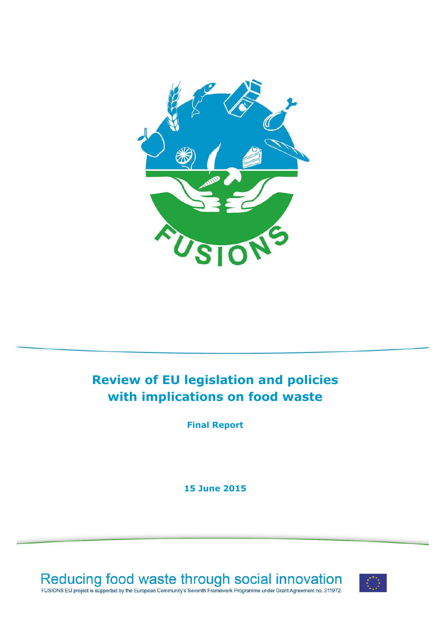

# **Review of EU legislation and policies with implications on food waste**

**Final Report**

**15 June 2015**



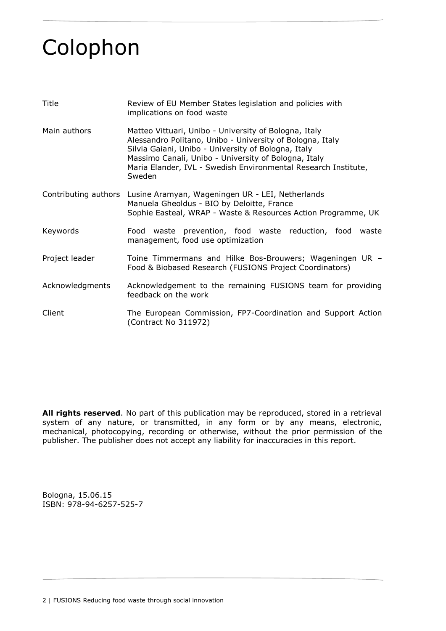# <span id="page-1-0"></span>Colophon

| Title                | Review of EU Member States legislation and policies with<br>implications on food waste                                                                                                                                                                                                                        |  |  |  |  |  |
|----------------------|---------------------------------------------------------------------------------------------------------------------------------------------------------------------------------------------------------------------------------------------------------------------------------------------------------------|--|--|--|--|--|
| Main authors         | Matteo Vittuari, Unibo - University of Bologna, Italy<br>Alessandro Politano, Unibo - University of Bologna, Italy<br>Silvia Gaiani, Unibo - University of Bologna, Italy<br>Massimo Canali, Unibo - University of Bologna, Italy<br>Maria Elander, IVL - Swedish Environmental Research Institute,<br>Sweden |  |  |  |  |  |
| Contributing authors | Lusine Aramyan, Wageningen UR - LEI, Netherlands<br>Manuela Gheoldus - BIO by Deloitte, France<br>Sophie Easteal, WRAP - Waste & Resources Action Programme, UK                                                                                                                                               |  |  |  |  |  |
| Keywords             | Food waste prevention, food waste reduction, food waste<br>management, food use optimization                                                                                                                                                                                                                  |  |  |  |  |  |
| Project leader       | Toine Timmermans and Hilke Bos-Brouwers; Wageningen UR -<br>Food & Biobased Research (FUSIONS Project Coordinators)                                                                                                                                                                                           |  |  |  |  |  |
| Acknowledgments      | Acknowledgement to the remaining FUSIONS team for providing<br>feedback on the work                                                                                                                                                                                                                           |  |  |  |  |  |
| Client               | The European Commission, FP7-Coordination and Support Action<br>(Contract No 311972)                                                                                                                                                                                                                          |  |  |  |  |  |

**All rights reserved**. No part of this publication may be reproduced, stored in a retrieval system of any nature, or transmitted, in any form or by any means, electronic, mechanical, photocopying, recording or otherwise, without the prior permission of the publisher. The publisher does not accept any liability for inaccuracies in this report.

Bologna, 15.06.15 ISBN: 978-94-6257-525-7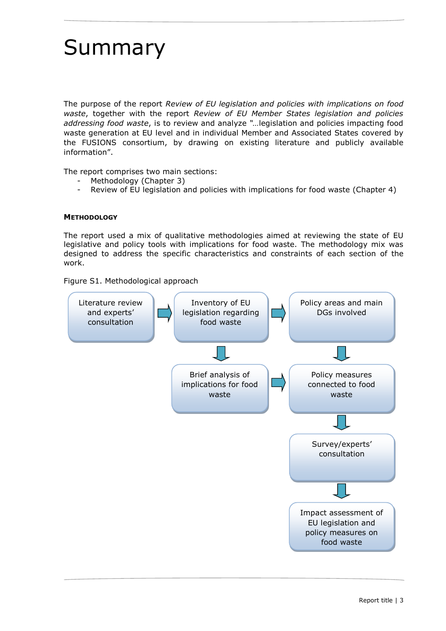# <span id="page-2-0"></span>Summary

The purpose of the report *Review of EU legislation and policies with implications on food waste*, together with the report *Review of EU Member States legislation and policies addressing food waste*, is to review and analyze *"…*legislation and policies impacting food waste generation at EU level and in individual Member and Associated States covered by the FUSIONS consortium, by drawing on existing literature and publicly available information".

The report comprises two main sections:

- Methodology (Chapter 3)
- Review of EU legislation and policies with implications for food waste (Chapter 4)

# **METHODOLOGY**

The report used a mix of qualitative methodologies aimed at reviewing the state of EU legislative and policy tools with implications for food waste. The methodology mix was designed to address the specific characteristics and constraints of each section of the work.

Figure S1. Methodological approach

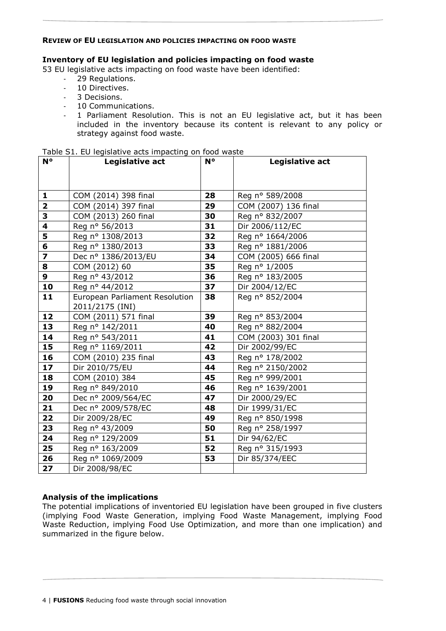# **REVIEW OF EU LEGISLATION AND POLICIES IMPACTING ON FOOD WASTE**

# **Inventory of EU legislation and policies impacting on food waste**

53 EU legislative acts impacting on food waste have been identified:

- 29 Regulations.
- 10 Directives.
- 3 Decisions.
- 10 Communications.
- 1 Parliament Resolution. This is not an EU legislative act, but it has been included in the inventory because its content is relevant to any policy or strategy against food waste.

| $N^{\circ}$             | Legislative act                | N° | Legislative act      |
|-------------------------|--------------------------------|----|----------------------|
|                         |                                |    |                      |
|                         |                                |    |                      |
| 1                       | COM (2014) 398 final           | 28 | Reg nº 589/2008      |
| $\overline{2}$          | COM (2014) 397 final           | 29 | COM (2007) 136 final |
| 3                       | COM (2013) 260 final           | 30 | Reg nº 832/2007      |
| 4                       | Reg nº 56/2013                 | 31 | Dir 2006/112/EC      |
| 5                       | Reg nº 1308/2013               | 32 | Reg nº 1664/2006     |
| 6                       | Reg nº 1380/2013               | 33 | Reg nº 1881/2006     |
| $\overline{\mathbf{z}}$ | Dec nº 1386/2013/EU            | 34 | COM (2005) 666 final |
| 8                       | COM (2012) 60                  | 35 | Reg nº 1/2005        |
| 9                       | Reg nº 43/2012                 | 36 | Reg nº 183/2005      |
| 10                      | Reg nº 44/2012                 | 37 | Dir 2004/12/EC       |
| 11                      | European Parliament Resolution | 38 | Reg nº 852/2004      |
|                         | 2011/2175 (INI)                |    |                      |
| 12                      | COM (2011) 571 final           | 39 | Reg nº 853/2004      |
| 13                      | Reg nº 142/2011                | 40 | Reg nº 882/2004      |
| 14                      | Reg nº 543/2011                | 41 | COM (2003) 301 final |
| 15                      | Reg nº 1169/2011               | 42 | Dir 2002/99/EC       |
| 16                      | COM (2010) 235 final           | 43 | Reg nº 178/2002      |
| 17                      | Dir 2010/75/EU                 | 44 | Reg nº 2150/2002     |
| 18                      | COM (2010) 384                 | 45 | Reg nº 999/2001      |
| 19                      | Reg n° 849/2010                | 46 | Reg nº 1639/2001     |
| 20                      | Dec nº 2009/564/EC             | 47 | Dir 2000/29/EC       |
| 21                      | Dec nº 2009/578/EC             | 48 | Dir 1999/31/EC       |
| 22                      | Dir 2009/28/EC                 | 49 | Reg nº 850/1998      |
| 23                      | Reg nº 43/2009                 | 50 | Reg nº 258/1997      |
| 24                      | Reg nº 129/2009                | 51 | Dir 94/62/EC         |
| 25                      | Reg nº 163/2009                | 52 | Reg nº 315/1993      |
| 26                      | Reg nº 1069/2009               | 53 | Dir 85/374/EEC       |
| 27                      | Dir 2008/98/EC                 |    |                      |

Table S1. EU legislative acts impacting on food waste

# **Analysis of the implications**

The potential implications of inventoried EU legislation have been grouped in five clusters (implying Food Waste Generation, implying Food Waste Management, implying Food Waste Reduction, implying Food Use Optimization, and more than one implication) and summarized in the figure below.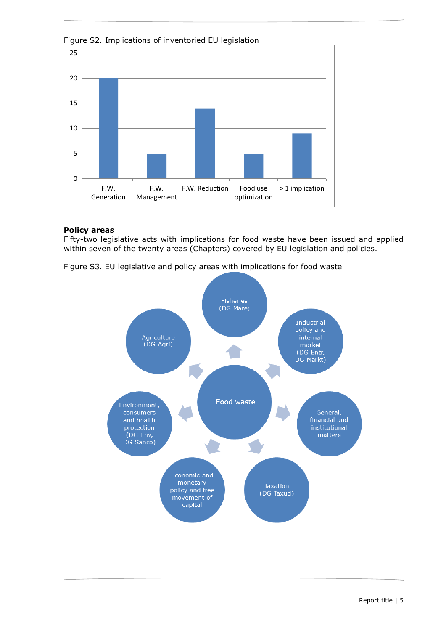

Figure S2. Implications of inventoried EU legislation

# **Policy areas**

Fifty-two legislative acts with implications for food waste have been issued and applied within seven of the twenty areas (Chapters) covered by EU legislation and policies.

Figure S3. EU legislative and policy areas with implications for food waste

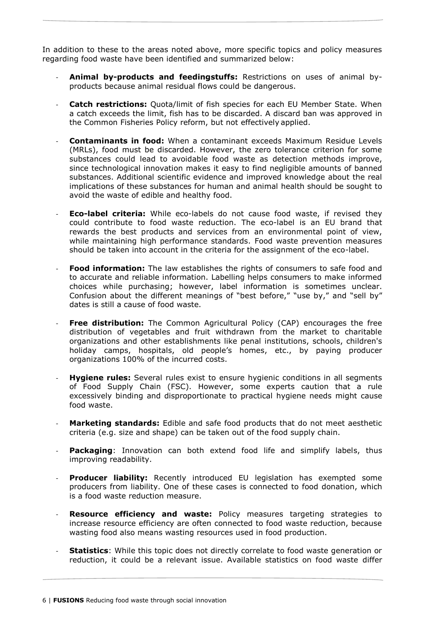In addition to these to the areas noted above, more specific topics and policy measures regarding food waste have been identified and summarized below:

- **Animal by-products and feedingstuffs:** Restrictions on uses of animal byproducts because animal residual flows could be dangerous.
- **Catch restrictions:** Ouota/limit of fish species for each EU Member State. When a catch exceeds the limit, fish has to be discarded. A discard ban was approved in the Common Fisheries Policy reform, but not effectively applied.
- **Contaminants in food:** When a contaminant exceeds Maximum Residue Levels (MRLs), food must be discarded. However, the zero tolerance criterion for some substances could lead to avoidable food waste as detection methods improve, since technological innovation makes it easy to find negligible amounts of banned substances. Additional scientific evidence and improved knowledge about the real implications of these substances for human and animal health should be sought to avoid the waste of edible and healthy food.
- **Eco-label criteria:** While eco-labels do not cause food waste, if revised they could contribute to food waste reduction. The eco-label is an EU brand that rewards the best products and services from an environmental point of view, while maintaining high performance standards. Food waste prevention measures should be taken into account in the criteria for the assignment of the eco-label.
- **Food information:** The law establishes the rights of consumers to safe food and to accurate and reliable information. Labelling helps consumers to make informed choices while purchasing; however, label information is sometimes unclear. Confusion about the different meanings of "best before," "use by," and "sell by" dates is still a cause of food waste.
- **Free distribution:** The Common Agricultural Policy (CAP) encourages the free distribution of vegetables and fruit withdrawn from the market to charitable organizations and other establishments like penal institutions, schools, children's holiday camps, hospitals, old people's homes, etc., by paying producer organizations 100% of the incurred costs.
- **Hygiene rules:** Several rules exist to ensure hygienic conditions in all segments of Food Supply Chain (FSC). However, some experts caution that a rule excessively binding and disproportionate to practical hygiene needs might cause food waste.
- Marketing standards: Edible and safe food products that do not meet aesthetic criteria (e.g. size and shape) can be taken out of the food supply chain.
- **Packaging**: Innovation can both extend food life and simplify labels, thus improving readability.
- **Producer liability:** Recently introduced EU legislation has exempted some producers from liability. One of these cases is connected to food donation, which is a food waste reduction measure.
- Resource efficiency and waste: Policy measures targeting strategies to increase resource efficiency are often connected to food waste reduction, because wasting food also means wasting resources used in food production.
- **Statistics**: While this topic does not directly correlate to food waste generation or reduction, it could be a relevant issue. Available statistics on food waste differ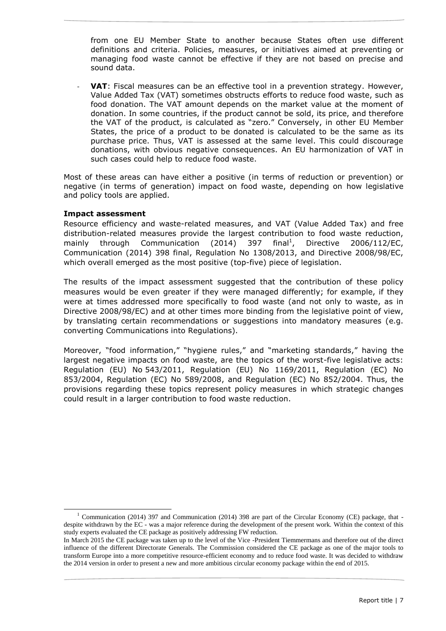from one EU Member State to another because States often use different definitions and criteria. Policies, measures, or initiatives aimed at preventing or managing food waste cannot be effective if they are not based on precise and sound data.

**VAT:** Fiscal measures can be an effective tool in a prevention strategy. However, Value Added Tax (VAT) sometimes obstructs efforts to reduce food waste, such as food donation. The VAT amount depends on the market value at the moment of donation. In some countries, if the product cannot be sold, its price, and therefore the VAT of the product, is calculated as "zero." Conversely, in other EU Member States, the price of a product to be donated is calculated to be the same as its purchase price. Thus, VAT is assessed at the same level. This could discourage donations, with obvious negative consequences. An EU harmonization of VAT in such cases could help to reduce food waste.

Most of these areas can have either a positive (in terms of reduction or prevention) or negative (in terms of generation) impact on food waste, depending on how legislative and policy tools are applied.

# **Impact assessment**

-

Resource efficiency and waste-related measures, and VAT (Value Added Tax) and free distribution-related measures provide the largest contribution to food waste reduction, mainly through Communication  $(2014)$  397 final<sup>1</sup>, , Directive 2006/112/EC, Communication (2014) 398 final, Regulation No 1308/2013, and Directive 2008/98/EC, which overall emerged as the most positive (top-five) piece of legislation.

The results of the impact assessment suggested that the contribution of these policy measures would be even greater if they were managed differently; for example, if they were at times addressed more specifically to food waste (and not only to waste, as in Directive 2008/98/EC) and at other times more binding from the legislative point of view, by translating certain recommendations or suggestions into mandatory measures (e.g. converting Communications into Regulations).

Moreover, "food information," "hygiene rules," and "marketing standards," having the largest negative impacts on food waste, are the topics of the worst-five legislative acts: Regulation (EU) No 543/2011, Regulation (EU) No 1169/2011, Regulation (EC) No 853/2004, Regulation (EC) No 589/2008, and Regulation (EC) No 852/2004. Thus, the provisions regarding these topics represent policy measures in which strategic changes could result in a larger contribution to food waste reduction.

<sup>&</sup>lt;sup>1</sup> Communication (2014) 397 and Communication (2014) 398 are part of the Circular Economy (CE) package, that despite withdrawn by the EC - was a major reference during the development of the present work. Within the context of this study experts evaluated the CE package as positively addressing FW reduction.

In March 2015 the CE package was taken up to the level of the Vice -President Tiemmermans and therefore out of the direct influence of the different Directorate Generals. The Commission considered the CE package as one of the major tools to transform Europe into a more competitive resource-efficient economy and to reduce food waste. It was decided to withdraw the 2014 version in order to present a new and more ambitious circular economy package within the end of 2015.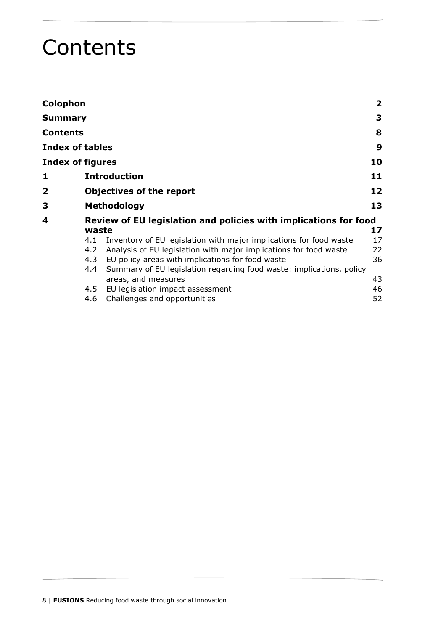# <span id="page-7-0"></span>**Contents**

| Colophon                |                                                                                                                                                                                                                                                                                                                                                                   | $\overline{\mathbf{2}}$    |
|-------------------------|-------------------------------------------------------------------------------------------------------------------------------------------------------------------------------------------------------------------------------------------------------------------------------------------------------------------------------------------------------------------|----------------------------|
| Summary                 |                                                                                                                                                                                                                                                                                                                                                                   | 3                          |
| Contents                |                                                                                                                                                                                                                                                                                                                                                                   | 8                          |
| <b>Index of tables</b>  |                                                                                                                                                                                                                                                                                                                                                                   | 9                          |
| <b>Index of figures</b> |                                                                                                                                                                                                                                                                                                                                                                   | 10                         |
| 1                       | <b>Introduction</b>                                                                                                                                                                                                                                                                                                                                               | 11                         |
| 2                       | <b>Objectives of the report</b>                                                                                                                                                                                                                                                                                                                                   | 12                         |
| 3                       | <b>Methodology</b>                                                                                                                                                                                                                                                                                                                                                | 13                         |
| 4                       | Review of EU legislation and policies with implications for food<br>waste                                                                                                                                                                                                                                                                                         | 17                         |
|                         | Inventory of EU legislation with major implications for food waste<br>4.1<br>Analysis of EU legislation with major implications for food waste<br>4.2<br>EU policy areas with implications for food waste<br>4.3<br>Summary of EU legislation regarding food waste: implications, policy<br>4.4<br>areas, and measures<br>EU legislation impact assessment<br>4.5 | 17<br>22<br>36<br>43<br>46 |
|                         | Challenges and opportunities<br>4.6                                                                                                                                                                                                                                                                                                                               | 52                         |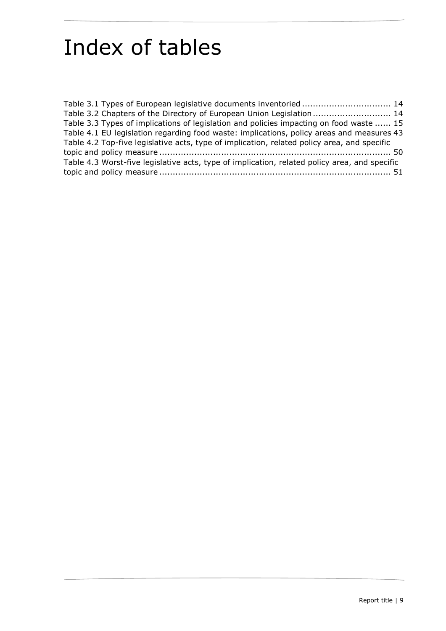# <span id="page-8-0"></span>Index of tables

| Table 3.1 Types of European legislative documents inventoried  14                             |  |
|-----------------------------------------------------------------------------------------------|--|
| Table 3.2 Chapters of the Directory of European Union Legislation  14                         |  |
| Table 3.3 Types of implications of legislation and policies impacting on food waste  15       |  |
| Table 4.1 EU legislation regarding food waste: implications, policy areas and measures 43     |  |
| Table 4.2 Top-five legislative acts, type of implication, related policy area, and specific   |  |
|                                                                                               |  |
| Table 4.3 Worst-five legislative acts, type of implication, related policy area, and specific |  |
|                                                                                               |  |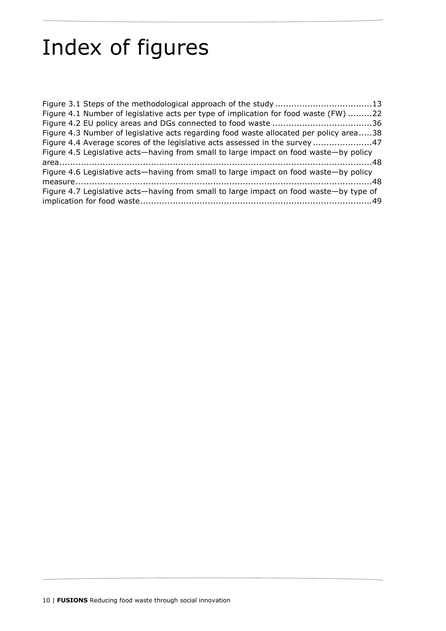# <span id="page-9-0"></span>Index of figures

| Figure 4.1 Number of legislative acts per type of implication for food waste (FW) 22   |
|----------------------------------------------------------------------------------------|
|                                                                                        |
| Figure 4.3 Number of legislative acts regarding food waste allocated per policy area38 |
| Figure 4.4 Average scores of the legislative acts assessed in the survey 47            |
| Figure 4.5 Legislative acts-having from small to large impact on food waste-by policy  |
|                                                                                        |
| Figure 4.6 Legislative acts—having from small to large impact on food waste—by policy  |
|                                                                                        |
| Figure 4.7 Legislative acts—having from small to large impact on food waste—by type of |
|                                                                                        |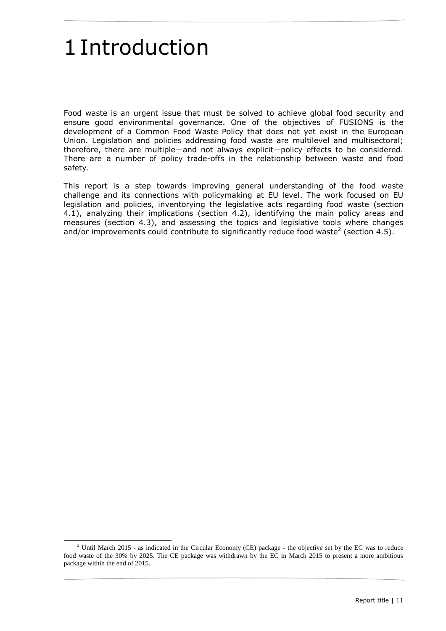# <span id="page-10-0"></span>1Introduction

-

Food waste is an urgent issue that must be solved to achieve global food security and ensure good environmental governance. One of the objectives of FUSIONS is the development of a Common Food Waste Policy that does not yet exist in the European Union. Legislation and policies addressing food waste are multilevel and multisectoral; therefore, there are multiple—and not always explicit—policy effects to be considered. There are a number of policy trade-offs in the relationship between waste and food safety.

This report is a step towards improving general understanding of the food waste challenge and its connections with policymaking at EU level. The work focused on EU legislation and policies, inventorying the legislative acts regarding food waste (section 4.1), analyzing their implications (section 4.2), identifying the main policy areas and measures (section 4.3), and assessing the topics and legislative tools where changes and/or improvements could contribute to significantly reduce food waste<sup>2</sup> (section 4.5).

<sup>&</sup>lt;sup>2</sup> Until March 2015 - as indicated in the Circular Economy (CE) package - the objective set by the EC was to reduce food waste of the 30% by 2025. The CE package was withdrawn by the EC in March 2015 to present a more ambitious package within the end of 2015.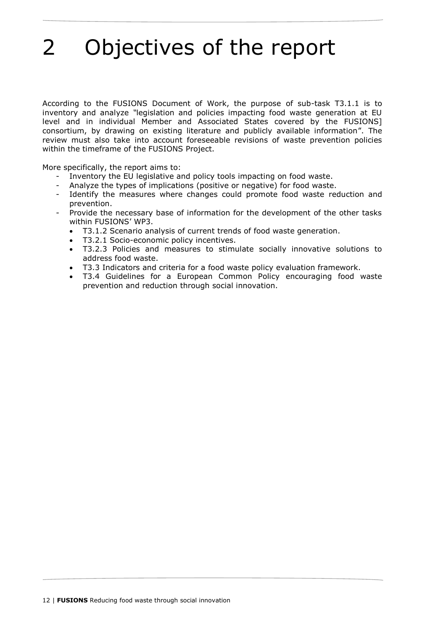# <span id="page-11-0"></span>2 Objectives of the report

According to the FUSIONS Document of Work, the purpose of sub-task T3.1.1 is to inventory and analyze *"*legislation and policies impacting food waste generation at EU level and in individual Member and Associated States covered by the FUSIONS] consortium, by drawing on existing literature and publicly available information". The review must also take into account foreseeable revisions of waste prevention policies within the timeframe of the FUSIONS Project.

More specifically, the report aims to:

- Inventory the EU legislative and policy tools impacting on food waste.
- Analyze the types of implications (positive or negative) for food waste.
- Identify the measures where changes could promote food waste reduction and prevention.
- Provide the necessary base of information for the development of the other tasks within FUSIONS' WP3.
	- T3.1.2 Scenario analysis of current trends of food waste generation.
	- T3.2.1 Socio-economic policy incentives.
	- T3.2.3 Policies and measures to stimulate socially innovative solutions to address food waste.
	- T3.3 Indicators and criteria for a food waste policy evaluation framework.
	- T3.4 Guidelines for a European Common Policy encouraging food waste prevention and reduction through social innovation.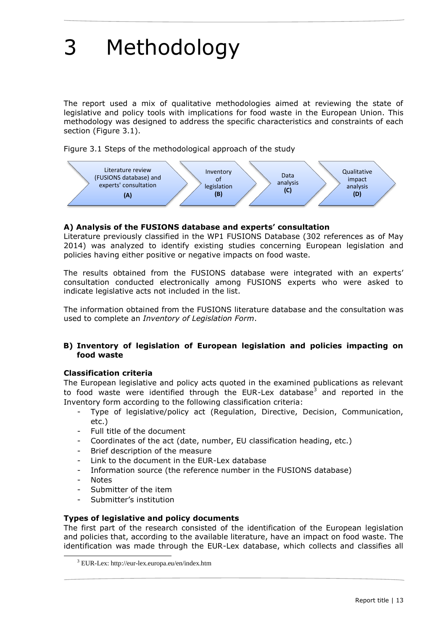# <span id="page-12-0"></span>3 Methodology

The report used a mix of qualitative methodologies aimed at reviewing the state of legislative and policy tools with implications for food waste in the European Union. This methodology was designed to address the specific characteristics and constraints of each section (Figure 3.1).

<span id="page-12-1"></span>Figure 3.1 Steps of the methodological approach of the study



# **A) Analysis of the FUSIONS database and experts' consultation**

Literature previously classified in the WP1 FUSIONS Database (302 references as of May 2014) was analyzed to identify existing studies concerning European legislation and policies having either positive or negative impacts on food waste.

The results obtained from the FUSIONS database were integrated with an experts' consultation conducted electronically among FUSIONS experts who were asked to indicate legislative acts not included in the list.

The information obtained from the FUSIONS literature database and the consultation was used to complete an *Inventory of Legislation Form*.

# **B) Inventory of legislation of European legislation and policies impacting on food waste**

# **Classification criteria**

The European legislative and policy acts quoted in the examined publications as relevant to food waste were identified through the EUR-Lex database<sup>3</sup> and reported in the Inventory form according to the following classification criteria:

- Type of legislative/policy act (Regulation, Directive, Decision, Communication, etc.)
- Full title of the document
- Coordinates of the act (date, number, EU classification heading, etc.)
- Brief description of the measure
- Link to the document in the EUR-Lex database
- Information source (the reference number in the FUSIONS database)
- **Notes**

-

- Submitter of the item
- Submitter's institution

# **Types of legislative and policy documents**

The first part of the research consisted of the identification of the European legislation and policies that, according to the available literature, have an impact on food waste. The identification was made through the EUR-Lex database, which collects and classifies all

<sup>3</sup> EUR-Lex: http://eur-lex.europa.eu/en/index.htm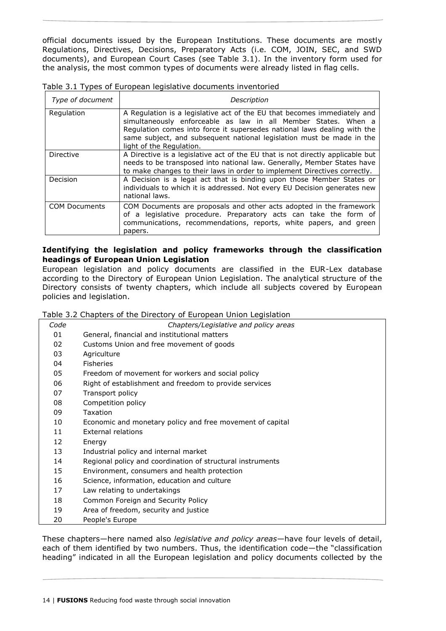official documents issued by the European Institutions. These documents are mostly Regulations, Directives, Decisions, Preparatory Acts (i.e. COM, JOIN, SEC, and SWD documents), and European Court Cases (see Table 3.1). In the inventory form used for the analysis, the most common types of documents were already listed in flag cells.

| Type of document     | Description                                                                                                                                                                                                                                                                                                                 |  |  |  |  |  |  |
|----------------------|-----------------------------------------------------------------------------------------------------------------------------------------------------------------------------------------------------------------------------------------------------------------------------------------------------------------------------|--|--|--|--|--|--|
| Regulation           | A Regulation is a legislative act of the EU that becomes immediately and<br>simultaneously enforceable as law in all Member States. When a<br>Regulation comes into force it supersedes national laws dealing with the<br>same subject, and subsequent national legislation must be made in the<br>light of the Regulation. |  |  |  |  |  |  |
| Directive            | A Directive is a legislative act of the EU that is not directly applicable but<br>needs to be transposed into national law. Generally, Member States have<br>to make changes to their laws in order to implement Directives correctly.                                                                                      |  |  |  |  |  |  |
| Decision             | A Decision is a legal act that is binding upon those Member States or<br>individuals to which it is addressed. Not every EU Decision generates new<br>national laws.                                                                                                                                                        |  |  |  |  |  |  |
| <b>COM Documents</b> | COM Documents are proposals and other acts adopted in the framework<br>of a legislative procedure. Preparatory acts can take the form of<br>communications, recommendations, reports, white papers, and green<br>papers.                                                                                                    |  |  |  |  |  |  |

<span id="page-13-0"></span>Table 3.1 Types of European legislative documents inventoried

# **Identifying the legislation and policy frameworks through the classification headings of European Union Legislation**

European legislation and policy documents are classified in the EUR-Lex database according to the Directory of European Union Legislation. The analytical structure of the Directory consists of twenty chapters, which include all subjects covered by European policies and legislation.

<span id="page-13-1"></span>

| Table 3.2 Chapters of the Directory of European Union Legislation |  |  |  |
|-------------------------------------------------------------------|--|--|--|
|                                                                   |  |  |  |

| Code | Chapters/Legislative and policy areas                      |
|------|------------------------------------------------------------|
| 01   | General, financial and institutional matters               |
| 02   | Customs Union and free movement of goods                   |
| 03   | Agriculture                                                |
| 04   | <b>Fisheries</b>                                           |
| 05   | Freedom of movement for workers and social policy          |
| 06   | Right of establishment and freedom to provide services     |
| 07   | Transport policy                                           |
| 08   | Competition policy                                         |
| 09   | Taxation                                                   |
| 10   | Economic and monetary policy and free movement of capital  |
| 11   | <b>External relations</b>                                  |
| 12   | Energy                                                     |
| 13   | Industrial policy and internal market                      |
| 14   | Regional policy and coordination of structural instruments |
| 15   | Environment, consumers and health protection               |
| 16   | Science, information, education and culture                |
| 17   | Law relating to undertakings                               |
| 18   | Common Foreign and Security Policy                         |
| 19   | Area of freedom, security and justice                      |
| 20   | People's Europe                                            |

These chapters—here named also *legislative and policy areas*—have four levels of detail, each of them identified by two numbers. Thus, the identification code—the "classification heading" indicated in all the European legislation and policy documents collected by the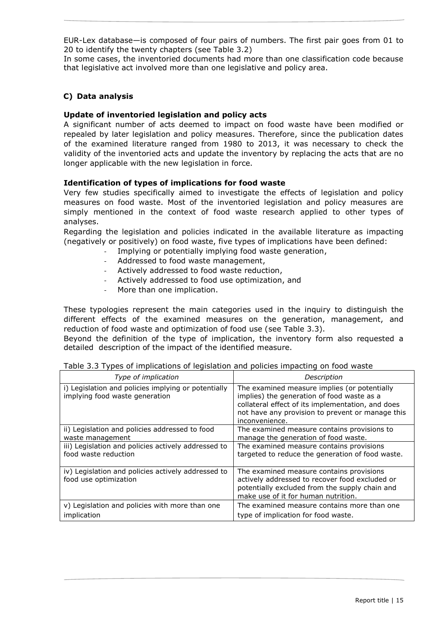EUR-Lex database—is composed of four pairs of numbers. The first pair goes from 01 to 20 to identify the twenty chapters (see Table 3.2)

In some cases, the inventoried documents had more than one classification code because that legislative act involved more than one legislative and policy area.

# **C) Data analysis**

# **Update of inventoried legislation and policy acts**

A significant number of acts deemed to impact on food waste have been modified or repealed by later legislation and policy measures. Therefore, since the publication dates of the examined literature ranged from 1980 to 2013, it was necessary to check the validity of the inventoried acts and update the inventory by replacing the acts that are no longer applicable with the new legislation in force.

# **Identification of types of implications for food waste**

Very few studies specifically aimed to investigate the effects of legislation and policy measures on food waste. Most of the inventoried legislation and policy measures are simply mentioned in the context of food waste research applied to other types of analyses.

Regarding the legislation and policies indicated in the available literature as impacting (negatively or positively) on food waste, five types of implications have been defined:

- Implying or potentially implying food waste generation,
- Addressed to food waste management,
- Actively addressed to food waste reduction,
- Actively addressed to food use optimization, and
- More than one implication.

These typologies represent the main categories used in the inquiry to distinguish the different effects of the examined measures on the generation, management, and reduction of food waste and optimization of food use (see Table 3.3).

Beyond the definition of the type of implication, the inventory form also requested a detailed description of the impact of the identified measure.

<span id="page-14-0"></span>

| Table 3.3 Types of implications of legislation and policies impacting on food waste |  |  |  |
|-------------------------------------------------------------------------------------|--|--|--|
|-------------------------------------------------------------------------------------|--|--|--|

| Type of implication                                                                   | Description                                                                                                                                                                                                           |  |  |  |
|---------------------------------------------------------------------------------------|-----------------------------------------------------------------------------------------------------------------------------------------------------------------------------------------------------------------------|--|--|--|
| i) Legislation and policies implying or potentially<br>implying food waste generation | The examined measure implies (or potentially<br>implies) the generation of food waste as a<br>collateral effect of its implementation, and does<br>not have any provision to prevent or manage this<br>inconvenience. |  |  |  |
| ii) Legislation and policies addressed to food<br>waste management                    | The examined measure contains provisions to<br>manage the generation of food waste.                                                                                                                                   |  |  |  |
| iii) Legislation and policies actively addressed to<br>food waste reduction           | The examined measure contains provisions<br>targeted to reduce the generation of food waste.                                                                                                                          |  |  |  |
| iv) Legislation and policies actively addressed to<br>food use optimization           | The examined measure contains provisions<br>actively addressed to recover food excluded or<br>potentially excluded from the supply chain and<br>make use of it for human nutrition.                                   |  |  |  |
| v) Legislation and policies with more than one                                        | The examined measure contains more than one                                                                                                                                                                           |  |  |  |
| implication                                                                           | type of implication for food waste.                                                                                                                                                                                   |  |  |  |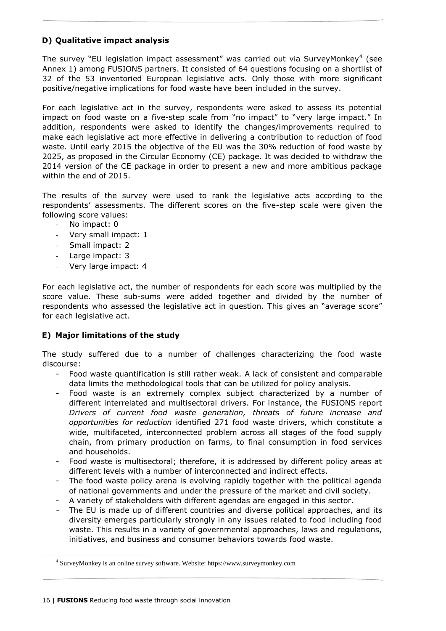# **D) Qualitative impact analysis**

The survey "EU legislation impact assessment" was carried out via SurveyMonkey<sup>4</sup> (see Annex 1) among FUSIONS partners. It consisted of 64 questions focusing on a shortlist of 32 of the 53 inventoried European legislative acts. Only those with more significant positive/negative implications for food waste have been included in the survey.

For each legislative act in the survey, respondents were asked to assess its potential impact on food waste on a five-step scale from "no impact" to "very large impact." In addition, respondents were asked to identify the changes/improvements required to make each legislative act more effective in delivering a contribution to reduction of food waste. Until early 2015 the objective of the EU was the 30% reduction of food waste by 2025, as proposed in the Circular Economy (CE) package. It was decided to withdraw the 2014 version of the CE package in order to present a new and more ambitious package within the end of 2015.

The results of the survey were used to rank the legislative acts according to the respondents' assessments. The different scores on the five-step scale were given the following score values:

- No impact: 0
- Very small impact: 1
- Small impact: 2
- Large impact: 3
- Very large impact: 4

For each legislative act, the number of respondents for each score was multiplied by the score value. These sub-sums were added together and divided by the number of respondents who assessed the legislative act in question. This gives an "average score" for each legislative act.

# **E) Major limitations of the study**

The study suffered due to a number of challenges characterizing the food waste discourse:

- Food waste quantification is still rather weak. A lack of consistent and comparable data limits the methodological tools that can be utilized for policy analysis.
- Food waste is an extremely complex subject characterized by a number of different interrelated and multisectoral drivers. For instance, the FUSIONS report *Drivers of current food waste generation, threats of future increase and opportunities for reduction* identified 271 food waste drivers, which constitute a wide, multifaceted, interconnected problem across all stages of the food supply chain, from primary production on farms, to final consumption in food services and households.
- Food waste is multisectoral; therefore, it is addressed by different policy areas at different levels with a number of interconnected and indirect effects.
- The food waste policy arena is evolving rapidly together with the political agenda of national governments and under the pressure of the market and civil society.
- A variety of stakeholders with different agendas are engaged in this sector.
- The EU is made up of different countries and diverse political approaches, and its diversity emerges particularly strongly in any issues related to food including food waste. This results in a variety of governmental approaches, laws and regulations, initiatives, and business and consumer behaviors towards food waste.

-

<sup>4</sup> SurveyMonkey is an online survey software. Website: https://www.surveymonkey.com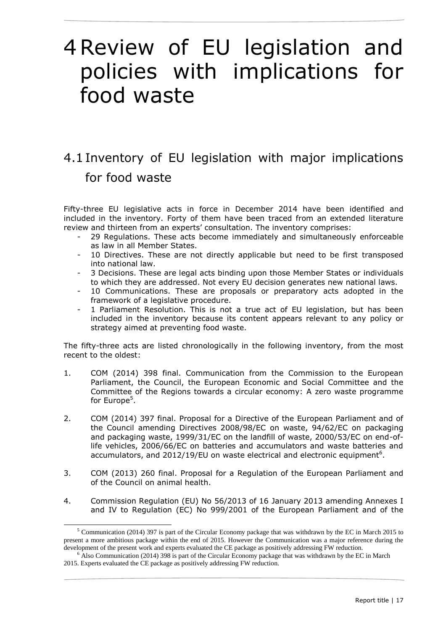# <span id="page-16-0"></span>4Review of EU legislation and policies with implications for food waste

# <span id="page-16-1"></span>4.1 Inventory of EU legislation with major implications for food waste

Fifty-three EU legislative acts in force in December 2014 have been identified and included in the inventory. Forty of them have been traced from an extended literature review and thirteen from an experts' consultation. The inventory comprises:

- 29 Regulations. These acts become immediately and simultaneously enforceable as law in all Member States.
- 10 Directives. These are not directly applicable but need to be first transposed into national law.
- 3 Decisions. These are legal acts binding upon those Member States or individuals to which they are addressed. Not every EU decision generates new national laws.
- 10 Communications. These are proposals or preparatory acts adopted in the framework of a legislative procedure.
- 1 Parliament Resolution. This is not a true act of EU legislation, but has been included in the inventory because its content appears relevant to any policy or strategy aimed at preventing food waste.

The fifty-three acts are listed chronologically in the following inventory, from the most recent to the oldest:

- 1. COM (2014) 398 final. Communication from the Commission to the European Parliament, the Council, the European Economic and Social Committee and the Committee of the Regions towards a circular economy: A zero waste programme for Europe<sup>5</sup>.
- 2. COM (2014) 397 final. Proposal for a Directive of the European Parliament and of the Council amending Directives 2008/98/EC on waste, 94/62/EC on packaging and packaging waste, 1999/31/EC on the landfill of waste, 2000/53/EC on end-oflife vehicles, 2006/66/EC on batteries and accumulators and waste batteries and accumulators, and 2012/19/EU on waste electrical and electronic equipment<sup>6</sup>.
- 3. COM (2013) 260 final. Proposal for a Regulation of the European Parliament and of the Council on animal health.
- 4. Commission Regulation (EU) No 56/2013 of 16 January 2013 amending Annexes I and IV to Regulation (EC) No 999/2001 of the European Parliament and of the

-

<sup>5</sup> Communication (2014) 397 is part of the Circular Economy package that was withdrawn by the EC in March 2015 to present a more ambitious package within the end of 2015. However the Communication was a major reference during the development of the present work and experts evaluated the CE package as positively addressing FW reduction.

<sup>&</sup>lt;sup>6</sup> Also Communication (2014) 398 is part of the Circular Economy package that was withdrawn by the EC in March 2015. Experts evaluated the CE package as positively addressing FW reduction.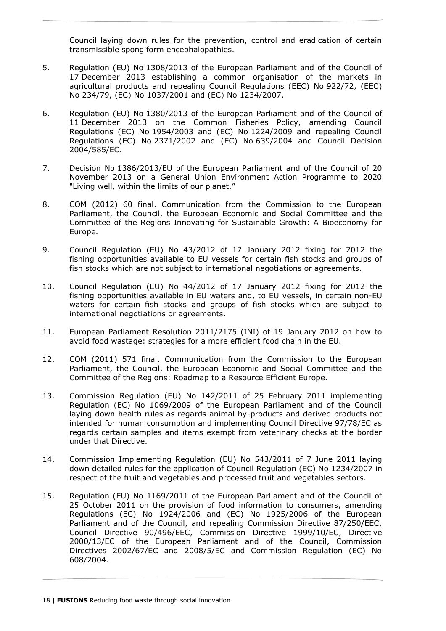Council laying down rules for the prevention, control and eradication of certain transmissible spongiform encephalopathies.

- 5. Regulation (EU) No 1308/2013 of the European Parliament and of the Council of 17 December 2013 establishing a common organisation of the markets in agricultural products and repealing Council Regulations (EEC) No 922/72, (EEC) No 234/79, (EC) No 1037/2001 and (EC) No 1234/2007.
- 6. Regulation (EU) No 1380/2013 of the European Parliament and of the Council of 11 December 2013 on the Common Fisheries Policy, amending Council Regulations (EC) No 1954/2003 and (EC) No 1224/2009 and repealing Council Regulations (EC) No 2371/2002 and (EC) No 639/2004 and Council Decision 2004/585/EC.
- 7. Decision No 1386/2013/EU of the European Parliament and of the Council of 20 November 2013 on a General Union Environment Action Programme to 2020 "Living well, within the limits of our planet."
- 8. COM (2012) 60 final. Communication from the Commission to the European Parliament, the Council, the European Economic and Social Committee and the Committee of the Regions Innovating for Sustainable Growth: A Bioeconomy for Europe.
- 9. Council Regulation (EU) No 43/2012 of 17 January 2012 fixing for 2012 the fishing opportunities available to EU vessels for certain fish stocks and groups of fish stocks which are not subject to international negotiations or agreements.
- 10. Council Regulation (EU) No 44/2012 of 17 January 2012 fixing for 2012 the fishing opportunities available in EU waters and, to EU vessels, in certain non-EU waters for certain fish stocks and groups of fish stocks which are subject to international negotiations or agreements.
- 11. European Parliament Resolution 2011/2175 (INI) of 19 January 2012 on how to avoid food wastage: strategies for a more efficient food chain in the EU.
- 12. COM (2011) 571 final. Communication from the Commission to the European Parliament, the Council, the European Economic and Social Committee and the Committee of the Regions: Roadmap to a Resource Efficient Europe.
- 13. Commission Regulation (EU) No 142/2011 of 25 February 2011 implementing Regulation (EC) No 1069/2009 of the European Parliament and of the Council laying down health rules as regards animal by-products and derived products not intended for human consumption and implementing Council Directive 97/78/EC as regards certain samples and items exempt from veterinary checks at the border under that Directive.
- 14. Commission Implementing Regulation (EU) No 543/2011 of 7 June 2011 laying down detailed rules for the application of Council Regulation (EC) No 1234/2007 in respect of the fruit and vegetables and processed fruit and vegetables sectors.
- 15. Regulation (EU) No 1169/2011 of the European Parliament and of the Council of 25 October 2011 on the provision of food information to consumers, amending Regulations (EC) No 1924/2006 and (EC) No 1925/2006 of the European Parliament and of the Council, and repealing Commission Directive 87/250/EEC, Council Directive 90/496/EEC, Commission Directive 1999/10/EC, Directive 2000/13/EC of the European Parliament and of the Council, Commission Directives 2002/67/EC and 2008/5/EC and Commission Regulation (EC) No 608/2004.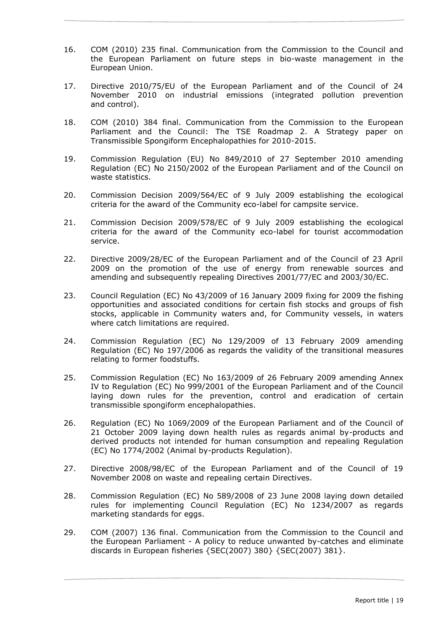- 16. COM (2010) 235 final. Communication from the Commission to the Council and the European Parliament on future steps in bio-waste management in the European Union.
- 17. Directive 2010/75/EU of the European Parliament and of the Council of 24 November 2010 on industrial emissions (integrated pollution prevention and control).
- 18. COM (2010) 384 final. Communication from the Commission to the European Parliament and the Council: The TSE Roadmap 2. A Strategy paper on Transmissible Spongiform Encephalopathies for 2010-2015.
- 19. Commission Regulation (EU) No 849/2010 of 27 September 2010 amending Regulation (EC) No 2150/2002 of the European Parliament and of the Council on waste statistics.
- 20. Commission Decision 2009/564/EC of 9 July 2009 establishing the ecological criteria for the award of the Community eco-label for campsite service.
- 21. Commission Decision 2009/578/EC of 9 July 2009 establishing the ecological criteria for the award of the Community eco-label for tourist accommodation service.
- 22. Directive 2009/28/EC of the European Parliament and of the Council of 23 April 2009 on the promotion of the use of energy from renewable sources and amending and subsequently repealing Directives 2001/77/EC and 2003/30/EC.
- 23. Council Regulation (EC) No 43/2009 of 16 January 2009 fixing for 2009 the fishing opportunities and associated conditions for certain fish stocks and groups of fish stocks, applicable in Community waters and, for Community vessels, in waters where catch limitations are required.
- 24. Commission Regulation (EC) No 129/2009 of 13 February 2009 amending Regulation (EC) No 197/2006 as regards the validity of the transitional measures relating to former foodstuffs.
- 25. Commission Regulation (EC) No 163/2009 of 26 February 2009 amending Annex IV to Regulation (EC) No 999/2001 of the European Parliament and of the Council laying down rules for the prevention, control and eradication of certain transmissible spongiform encephalopathies.
- 26. Regulation (EC) No 1069/2009 of the European Parliament and of the Council of 21 October 2009 laying down health rules as regards animal by-products and derived products not intended for human consumption and repealing Regulation (EC) No 1774/2002 (Animal by-products Regulation).
- 27. Directive 2008/98/EC of the European Parliament and of the Council of 19 November 2008 on waste and repealing certain Directives.
- 28. Commission Regulation (EC) No 589/2008 of 23 June 2008 laying down detailed rules for implementing Council Regulation (EC) No 1234/2007 as regards marketing standards for eggs.
- 29. COM (2007) 136 final. Communication from the Commission to the Council and the European Parliament - A policy to reduce unwanted by-catches and eliminate discards in European fisheries {SEC(2007) 380} {SEC(2007) 381}.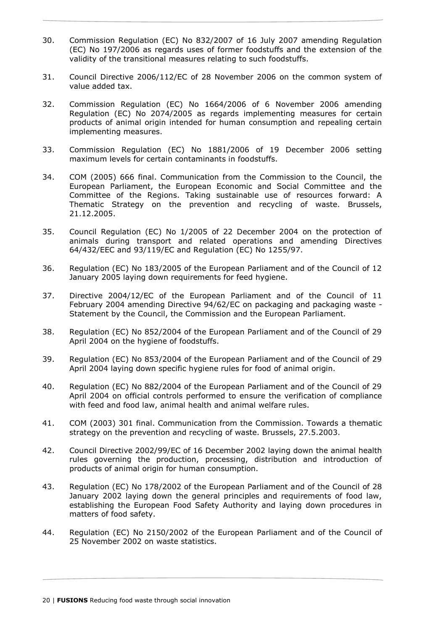- 30. Commission Regulation (EC) No 832/2007 of 16 July 2007 amending Regulation (EC) No 197/2006 as regards uses of former foodstuffs and the extension of the validity of the transitional measures relating to such foodstuffs.
- 31. Council Directive 2006/112/EC of 28 November 2006 on the common system of value added tax.
- 32. Commission Regulation (EC) No 1664/2006 of 6 November 2006 amending Regulation (EC) No 2074/2005 as regards implementing measures for certain products of animal origin intended for human consumption and repealing certain implementing measures.
- 33. Commission Regulation (EC) No 1881/2006 of 19 December 2006 setting maximum levels for certain contaminants in foodstuffs.
- 34. COM (2005) 666 final. Communication from the Commission to the Council, the European Parliament, the European Economic and Social Committee and the Committee of the Regions. Taking sustainable use of resources forward: A Thematic Strategy on the prevention and recycling of waste. Brussels, 21.12.2005.
- 35. Council Regulation (EC) No 1/2005 of 22 December 2004 on the protection of animals during transport and related operations and amending Directives 64/432/EEC and 93/119/EC and Regulation (EC) No 1255/97.
- 36. Regulation (EC) No 183/2005 of the European Parliament and of the Council of 12 January 2005 laying down requirements for feed hygiene.
- 37. Directive 2004/12/EC of the European Parliament and of the Council of 11 February 2004 amending Directive 94/62/EC on packaging and packaging waste - Statement by the Council, the Commission and the European Parliament.
- 38. Regulation (EC) No 852/2004 of the European Parliament and of the Council of 29 April 2004 on the hygiene of foodstuffs.
- 39. Regulation (EC) No 853/2004 of the European Parliament and of the Council of 29 April 2004 laying down specific hygiene rules for food of animal origin.
- 40. Regulation (EC) No 882/2004 of the European Parliament and of the Council of 29 April 2004 on official controls performed to ensure the verification of compliance with feed and food law, animal health and animal welfare rules.
- 41. COM (2003) 301 final. Communication from the Commission. Towards a thematic strategy on the prevention and recycling of waste. Brussels, 27.5.2003.
- 42. Council Directive 2002/99/EC of 16 December 2002 laying down the animal health rules governing the production, processing, distribution and introduction of products of animal origin for human consumption.
- 43. Regulation (EC) No 178/2002 of the European Parliament and of the Council of 28 January 2002 laying down the general principles and requirements of food law, establishing the European Food Safety Authority and laying down procedures in matters of food safety.
- 44. Regulation (EC) No 2150/2002 of the European Parliament and of the Council of 25 November 2002 on waste statistics.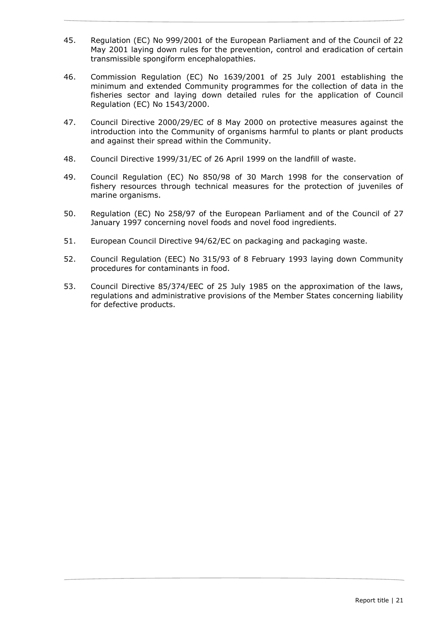- 45. Regulation (EC) No 999/2001 of the European Parliament and of the Council of 22 May 2001 laying down rules for the prevention, control and eradication of certain transmissible spongiform encephalopathies.
- 46. Commission Regulation (EC) No 1639/2001 of 25 July 2001 establishing the minimum and extended Community programmes for the collection of data in the fisheries sector and laying down detailed rules for the application of Council Regulation (EC) No 1543/2000.
- 47. Council Directive 2000/29/EC of 8 May 2000 on protective measures against the introduction into the Community of organisms harmful to plants or plant products and against their spread within the Community.
- 48. Council Directive 1999/31/EC of 26 April 1999 on the landfill of waste.
- 49. Council Regulation (EC) No 850/98 of 30 March 1998 for the conservation of fishery resources through technical measures for the protection of juveniles of marine organisms.
- 50. Regulation (EC) No 258/97 of the European Parliament and of the Council of 27 January 1997 concerning novel foods and novel food ingredients.
- 51. European Council Directive 94/62/EC on packaging and packaging waste.
- 52. Council Regulation (EEC) No 315/93 of 8 February 1993 laying down Community procedures for contaminants in food.
- 53. Council Directive 85/374/EEC of 25 July 1985 on the approximation of the laws, regulations and administrative provisions of the Member States concerning liability for defective products.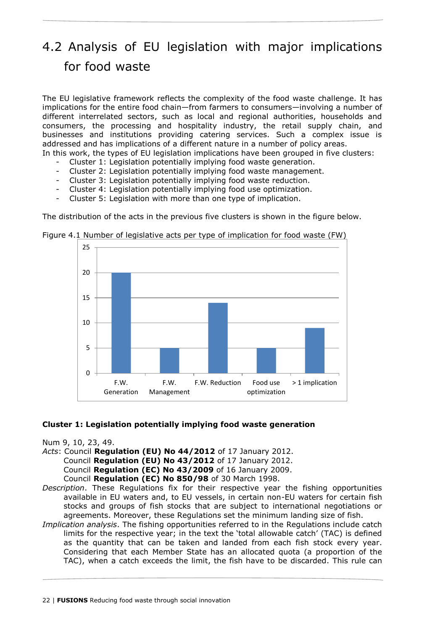# <span id="page-21-0"></span>4.2 Analysis of EU legislation with major implications for food waste

The EU legislative framework reflects the complexity of the food waste challenge. It has implications for the entire food chain—from farmers to consumers—involving a number of different interrelated sectors, such as local and regional authorities, households and consumers, the processing and hospitality industry, the retail supply chain, and businesses and institutions providing catering services. Such a complex issue is addressed and has implications of a different nature in a number of policy areas.

In this work, the types of EU legislation implications have been grouped in five clusters:

- Cluster 1: Legislation potentially implying food waste generation.
- Cluster 2: Legislation potentially implying food waste management.
- Cluster 3: Legislation potentially implying food waste reduction.
- Cluster 4: Legislation potentially implying food use optimization.
- Cluster 5: Legislation with more than one type of implication.

The distribution of the acts in the previous five clusters is shown in the figure below.



<span id="page-21-1"></span>Figure 4.1 Number of legislative acts per type of implication for food waste (FW)

# **Cluster 1: Legislation potentially implying food waste generation**

Num 9, 10, 23, 49.

*Acts*: Council **Regulation (EU) No 44/2012** of 17 January 2012.

Council **Regulation (EU) No 43/2012** of 17 January 2012.

Council **Regulation (EC) No 43/2009** of 16 January 2009.

Council **Regulation (EC) No 850/98** of 30 March 1998.

- *Description*. These Regulations fix for their respective year the fishing opportunities available in EU waters and, to EU vessels, in certain non-EU waters for certain fish stocks and groups of fish stocks that are subject to international negotiations or agreements. Moreover, these Regulations set the minimum landing size of fish.
- *Implication analysis*. The fishing opportunities referred to in the Regulations include catch limits for the respective year; in the text the 'total allowable catch' (TAC) is defined as the quantity that can be taken and landed from each fish stock every year. Considering that each Member State has an allocated quota (a proportion of the TAC), when a catch exceeds the limit, the fish have to be discarded. This rule can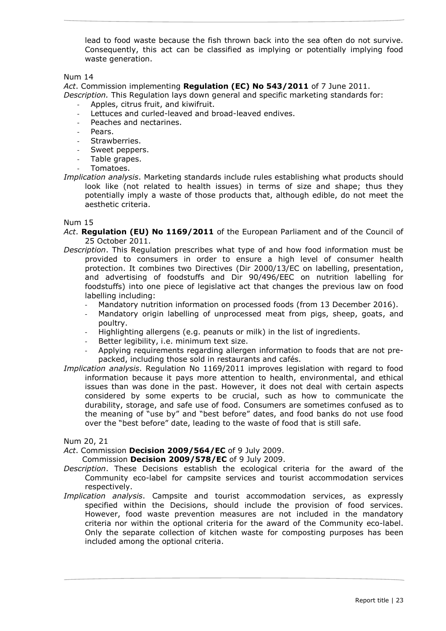lead to food waste because the fish thrown back into the sea often do not survive. Consequently, this act can be classified as implying or potentially implying food waste generation.

#### Num 14

*Act*. Commission implementing **Regulation (EC) No 543/2011** of 7 June 2011. *Description.* This Regulation lays down general and specific marketing standards for:

- Apples, citrus fruit, and kiwifruit.
- Lettuces and curled-leaved and broad-leaved endives.
- Peaches and nectarines.
- Pears.
- Strawberries.
- Sweet peppers.
- Table grapes.
- Tomatoes.
- *Implication analysis*. Marketing standards include rules establishing what products should look like (not related to health issues) in terms of size and shape; thus they potentially imply a waste of those products that, although edible, do not meet the aesthetic criteria.

#### Num 15

- *Act*. **Regulation (EU) No 1169/2011** of the European Parliament and of the Council of 25 October 2011.
- *Description*. This Regulation prescribes what type of and how food information must be provided to consumers in order to ensure a high level of consumer health protection. It combines two Directives (Dir 2000/13/EC on labelling, presentation, and advertising of foodstuffs and Dir 90/496/EEC on nutrition labelling for foodstuffs) into one piece of legislative act that changes the previous law on food labelling including:
	- Mandatory nutrition information on processed foods (from 13 December 2016).
	- Mandatory origin labelling of unprocessed meat from pigs, sheep, goats, and poultry.
	- Highlighting allergens (e.g. peanuts or milk) in the list of ingredients.
	- Better legibility, i.e. minimum text size.
	- Applying requirements regarding allergen information to foods that are not prepacked, including those sold in restaurants and cafés.
- *Implication analysis*. Regulation No 1169/2011 improves legislation with regard to food information because it pays more attention to health, environmental, and ethical issues than was done in the past. However, it does not deal with certain aspects considered by some experts to be crucial, such as how to communicate the durability, storage, and safe use of food. Consumers are sometimes confused as to the meaning of "use by" and "best before" dates, and food banks do not use food over the "best before" date, leading to the waste of food that is still safe.

Num 20, 21

*Act*. Commission **Decision 2009/564/EC** of 9 July 2009.

Commission **Decision 2009/578/EC** of 9 July 2009.

- *Description*. These Decisions establish the ecological criteria for the award of the Community eco-label for campsite services and tourist accommodation services respectively.
- *Implication analysis*. Campsite and tourist accommodation services, as expressly specified within the Decisions, should include the provision of food services. However, food waste prevention measures are not included in the mandatory criteria nor within the optional criteria for the award of the Community eco-label. Only the separate collection of kitchen waste for composting purposes has been included among the optional criteria.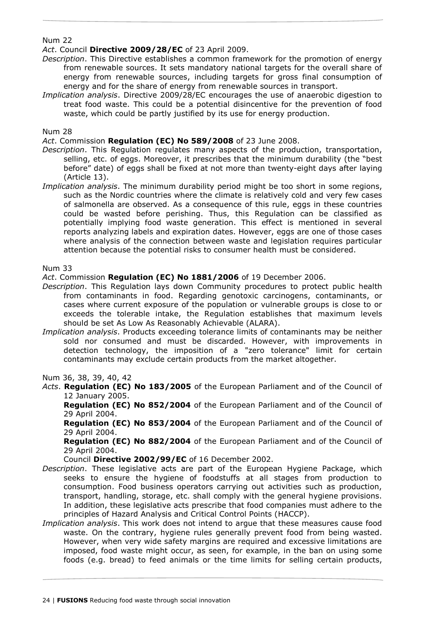# *Act*. Council **Directive 2009/28/EC** of 23 April 2009.

- *Description*. This Directive establishes a common framework for the promotion of energy from renewable sources. It sets mandatory national targets for the overall share of energy from renewable sources, including targets for gross final consumption of energy and for the share of energy from renewable sources in transport.
- *Implication analysis*. Directive 2009/28/EC encourages the use of anaerobic digestion to treat food waste. This could be a potential disincentive for the prevention of food waste, which could be partly justified by its use for energy production.

Num 28

*Act*. Commission **Regulation (EC) No 589/2008** of 23 June 2008.

- *Description*. This Regulation regulates many aspects of the production, transportation, selling, etc. of eggs. Moreover, it prescribes that the minimum durability (the "best before" date) of eggs shall be fixed at not more than twenty-eight days after laying (Article 13).
- *Implication analysis*. The minimum durability period might be too short in some regions, such as the Nordic countries where the climate is relatively cold and very few cases of salmonella are observed. As a consequence of this rule, eggs in these countries could be wasted before perishing. Thus, this Regulation can be classified as potentially implying food waste generation. This effect is mentioned in several reports analyzing labels and expiration dates. However, eggs are one of those cases where analysis of the connection between waste and legislation requires particular attention because the potential risks to consumer health must be considered.

#### Num 33

*Act*. Commission **Regulation (EC) No 1881/2006** of 19 December 2006.

- *Description*. This Regulation lays down Community procedures to protect public health from contaminants in food. Regarding genotoxic carcinogens, contaminants, or cases where current exposure of the population or vulnerable groups is close to or exceeds the tolerable intake, the Regulation establishes that maximum levels should be set As Low As Reasonably Achievable (ALARA).
- *Implication analysis*. Products exceeding tolerance limits of contaminants may be neither sold nor consumed and must be discarded. However, with improvements in detection technology, the imposition of a "zero tolerance" limit for certain contaminants may exclude certain products from the market altogether.

Num 36, 38, 39, 40, 42

*Acts*. **Regulation (EC) No 183/2005** of the European Parliament and of the Council of 12 January 2005.

**Regulation (EC) No 852/2004** of the European Parliament and of the Council of 29 April 2004.

**Regulation (EC) No 853/2004** of the European Parliament and of the Council of 29 April 2004.

**Regulation (EC) No 882/2004** of the European Parliament and of the Council of 29 April 2004.

Council **Directive 2002/99/EC** of 16 December 2002.

- *Description*. These legislative acts are part of the European Hygiene Package, which seeks to ensure the hygiene of foodstuffs at all stages from production to consumption. Food business operators carrying out activities such as production, transport, handling, storage, etc. shall comply with the general hygiene provisions. In addition, these legislative acts prescribe that food companies must adhere to the principles of Hazard Analysis and Critical Control Points (HACCP).
- *Implication analysis*. This work does not intend to argue that these measures cause food waste. On the contrary, hygiene rules generally prevent food from being wasted. However, when very wide safety margins are required and excessive limitations are imposed, food waste might occur, as seen, for example, in the ban on using some foods (e.g. bread) to feed animals or the time limits for selling certain products,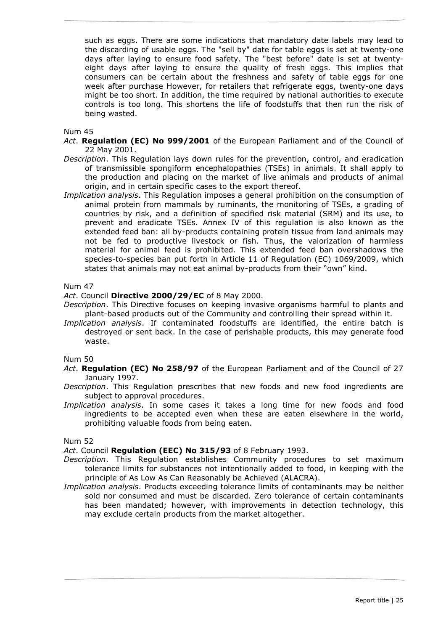such as eggs. There are some indications that mandatory date labels may lead to the discarding of usable eggs. The "sell by" date for table eggs is set at twenty-one days after laying to ensure food safety. The "best before" date is set at twentyeight days after laying to ensure the quality of fresh eggs. This implies that consumers can be certain about the freshness and safety of table eggs for one week after purchase However, for retailers that refrigerate eggs, twenty-one days might be too short. In addition, the time required by national authorities to execute controls is too long. This shortens the life of foodstuffs that then run the risk of being wasted.

Num 45

- *Act*. **Regulation (EC) No 999/2001** of the European Parliament and of the Council of 22 May 2001.
- *Description*. This Regulation lays down rules for the prevention, control, and eradication of transmissible spongiform encephalopathies (TSEs) in animals. It shall apply to the production and placing on the market of live animals and products of animal origin, and in certain specific cases to the export thereof.
- *Implication analysis*. This Regulation imposes a general prohibition on the consumption of animal protein from mammals by ruminants, the monitoring of TSEs, a grading of countries by risk, and a definition of specified risk material (SRM) and its use, to prevent and eradicate TSEs. Annex IV of this regulation is also known as the extended feed ban: all by-products containing protein tissue from land animals may not be fed to productive livestock or fish. Thus, the valorization of harmless material for animal feed is prohibited. This extended feed ban overshadows the species-to-species ban put forth in Article 11 of Regulation (EC) 1069/2009, which states that animals may not eat animal by-products from their "own" kind.

#### Num 47

*Act*. Council **Directive 2000/29/EC** of 8 May 2000.

- *Description*. This Directive focuses on keeping invasive organisms harmful to plants and plant-based products out of the Community and controlling their spread within it.
- *Implication analysis*. If contaminated foodstuffs are identified, the entire batch is destroyed or sent back. In the case of perishable products, this may generate food waste.

Num 50

- *Act*. **Regulation (EC) No 258/97** of the European Parliament and of the Council of 27 January 1997.
- *Description*. This Regulation prescribes that new foods and new food ingredients are subject to approval procedures.
- *Implication analysis*. In some cases it takes a long time for new foods and food ingredients to be accepted even when these are eaten elsewhere in the world, prohibiting valuable foods from being eaten.

Num 52

*Act*. Council **Regulation (EEC) No 315/93** of 8 February 1993.

- *Description*. This Regulation establishes Community procedures to set maximum tolerance limits for substances not intentionally added to food, in keeping with the principle of As Low As Can Reasonably be Achieved (ALACRA).
- *Implication analysis*. Products exceeding tolerance limits of contaminants may be neither sold nor consumed and must be discarded. Zero tolerance of certain contaminants has been mandated; however, with improvements in detection technology, this may exclude certain products from the market altogether.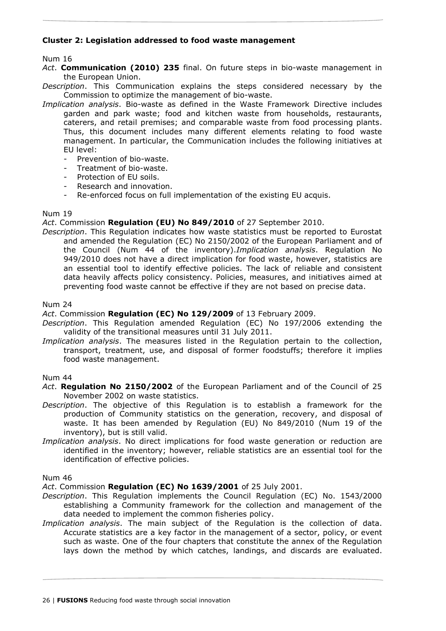# **Cluster 2: Legislation addressed to food waste management**

Num 16

*Act*. **Communication (2010) 235** final. On future steps in bio-waste management in the European Union.

*Description*. This Communication explains the steps considered necessary by the Commission to optimize the management of bio-waste.

- *Implication analysis*. Bio-waste as defined in the Waste Framework Directive includes garden and park waste; food and kitchen waste from households, restaurants, caterers, and retail premises; and comparable waste from food processing plants. Thus, this document includes many different elements relating to food waste management. In particular, the Communication includes the following initiatives at EU level:
	- Prevention of bio-waste.
	- Treatment of bio-waste.
	- Protection of EU soils.
	- Research and innovation.
	- Re-enforced focus on full implementation of the existing EU acquis.

#### Num 19

*Act*. Commission **Regulation (EU) No 849/2010** of 27 September 2010.

*Description*. This Regulation indicates how waste statistics must be reported to Eurostat and amended the Regulation (EC) No 2150/2002 of the European Parliament and of the Council (Num 44 of the inventory).*Implication analysis*. Regulation No 949/2010 does not have a direct implication for food waste, however, statistics are an essential tool to identify effective policies. The lack of reliable and consistent data heavily affects policy consistency. Policies, measures, and initiatives aimed at preventing food waste cannot be effective if they are not based on precise data.

#### Num 24

*Act*. Commission **Regulation (EC) No 129/2009** of 13 February 2009.

- *Description*. This Regulation amended Regulation (EC) No 197/2006 extending the validity of the transitional measures until 31 July 2011.
- *Implication analysis*. The measures listed in the Regulation pertain to the collection, transport, treatment, use, and disposal of former foodstuffs; therefore it implies food waste management.

# Num 44

*Act*. **Regulation No 2150/2002** of the European Parliament and of the Council of 25 November 2002 on waste statistics.

- *Description*. The objective of this Regulation is to establish a framework for the production of Community statistics on the generation, recovery, and disposal of waste. It has been amended by Regulation (EU) No 849/2010 (Num 19 of the inventory), but is still valid.
- *Implication analysis*. No direct implications for food waste generation or reduction are identified in the inventory; however, reliable statistics are an essential tool for the identification of effective policies.

#### Num 46

*Act*. Commission **Regulation (EC) No 1639/2001** of 25 July 2001.

- *Description*. This Regulation implements the Council Regulation (EC) No. 1543/2000 establishing a Community framework for the collection and management of the data needed to implement the common fisheries policy.
- *Implication analysis*. The main subject of the Regulation is the collection of data. Accurate statistics are a key factor in the management of a sector, policy, or event such as waste. One of the four chapters that constitute the annex of the Regulation lays down the method by which catches, landings, and discards are evaluated.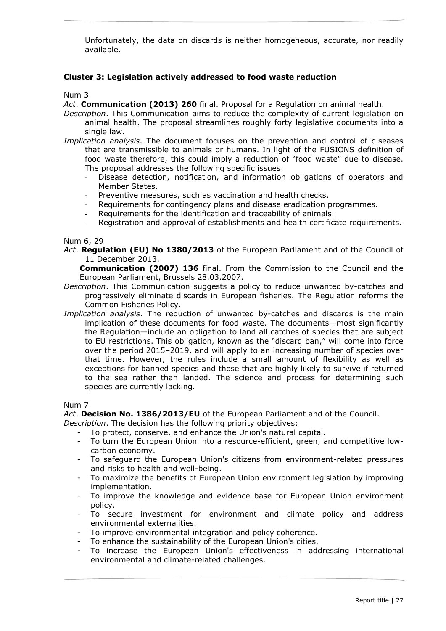Unfortunately, the data on discards is neither homogeneous, accurate, nor readily available.

# **Cluster 3: Legislation actively addressed to food waste reduction**

#### Num 3

*Act*. **Communication (2013) 260** final. Proposal for a Regulation on animal health.

- *Description*. This Communication aims to reduce the complexity of current legislation on animal health. The proposal streamlines roughly forty legislative documents into a single law.
- *Implication analysis*. The document focuses on the prevention and control of diseases that are transmissible to animals or humans. In light of the FUSIONS definition of food waste therefore, this could imply a reduction of "food waste" due to disease. The proposal addresses the following specific issues:
	- Disease detection, notification, and information obligations of operators and Member States.
	- Preventive measures, such as vaccination and health checks.
	- Requirements for contingency plans and disease eradication programmes.
	- Requirements for the identification and traceability of animals.
	- Registration and approval of establishments and health certificate requirements.

#### Num 6, 29

*Act*. **Regulation (EU) No 1380/2013** of the European Parliament and of the Council of 11 December 2013.

**Communication (2007) 136** final. From the Commission to the Council and the European Parliament, Brussels 28.03.2007.

- *Description*. This Communication suggests a policy to reduce unwanted by-catches and progressively eliminate discards in European fisheries. The Regulation reforms the Common Fisheries Policy.
- *Implication analysis*. The reduction of unwanted by-catches and discards is the main implication of these documents for food waste. The documents—most significantly the Regulation—include an obligation to land all catches of species that are subject to EU restrictions. This obligation, known as the "discard ban," will come into force over the period 2015–2019, and will apply to an increasing number of species over that time. However, the rules include a small amount of flexibility as well as exceptions for banned species and those that are highly likely to survive if returned to the sea rather than landed. The science and process for determining such species are currently lacking.

# Num 7

*Act*. **Decision No. 1386/2013/EU** of the European Parliament and of the Council.

*Description*. The decision has the following priority objectives:

- To protect, conserve, and enhance the Union's natural capital.
- To turn the European Union into a resource-efficient, green, and competitive lowcarbon economy.
- To safeguard the European Union's citizens from environment-related pressures and risks to health and well-being.
- To maximize the benefits of European Union environment legislation by improving implementation.
- To improve the knowledge and evidence base for European Union environment policy.
- To secure investment for environment and climate policy and address environmental externalities.
- To improve environmental integration and policy coherence.
- To enhance the sustainability of the European Union's cities.
- To increase the European Union's effectiveness in addressing international environmental and climate-related challenges.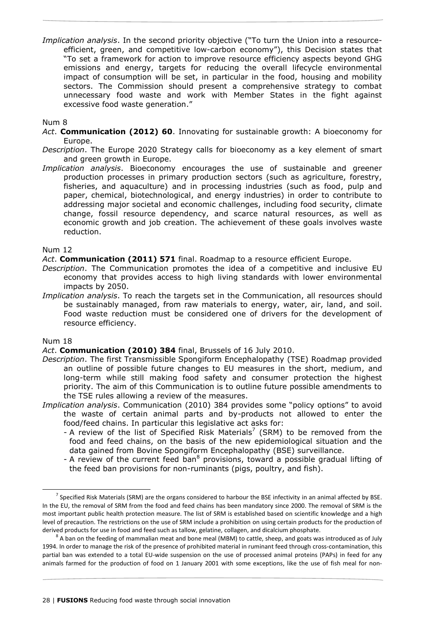*Implication analysis*. In the second priority objective ("To turn the Union into a resourceefficient, green, and competitive low-carbon economy"), this Decision states that "To set a framework for action to improve resource efficiency aspects beyond GHG emissions and energy, targets for reducing the overall lifecycle environmental impact of consumption will be set, in particular in the food, housing and mobility sectors. The Commission should present a comprehensive strategy to combat unnecessary food waste and work with Member States in the fight against excessive food waste generation."

### Num 8

- *Act*. **Communication (2012) 60**. Innovating for sustainable growth: A bioeconomy for Europe.
- *Description*. The Europe 2020 Strategy calls for bioeconomy as a key element of smart and green growth in Europe.
- *Implication analysis*. Bioeconomy encourages the use of sustainable and greener production processes in primary production sectors (such as agriculture, forestry, fisheries, and aquaculture) and in processing industries (such as food, pulp and paper, chemical, biotechnological, and energy industries) in order to contribute to addressing major societal and economic challenges, including food security, climate change, fossil resource dependency, and scarce natural resources, as well as economic growth and job creation. The achievement of these goals involves waste reduction.

#### Num 12

*Act*. **Communication (2011) 571** final. Roadmap to a resource efficient Europe.

- *Description*. The Communication promotes the idea of a competitive and inclusive EU economy that provides access to high living standards with lower environmental impacts by 2050.
- *Implication analysis*. To reach the targets set in the Communication, all resources should be sustainably managed, from raw materials to energy, water, air, land, and soil. Food waste reduction must be considered one of drivers for the development of resource efficiency.

# Num 18

-

# *Act*. **Communication (2010) 384** final, Brussels of 16 July 2010.

- *Description*. The first Transmissible Spongiform Encephalopathy (TSE) Roadmap provided an outline of possible future changes to EU measures in the short, medium, and long-term while still making food safety and consumer protection the highest priority. The aim of this Communication is to outline future possible amendments to the TSE rules allowing a review of the measures.
- *Implication analysis*. Communication (2010) 384 provides some "policy options" to avoid the waste of certain animal parts and by-products not allowed to enter the food/feed chains. In particular this legislative act asks for:
	- A review of the list of Specified Risk Materials<sup>7</sup> (SRM) to be removed from the food and feed chains, on the basis of the new epidemiological situation and the data gained from Bovine Spongiform Encephalopathy (BSE) surveillance.
	- A review of the current feed ban<sup>8</sup> provisions, toward a possible gradual lifting of the feed ban provisions for non-ruminants (pigs, poultry, and fish).

 $^7$  Specified Risk Materials (SRM) are the organs considered to harbour the BSE infectivity in an animal affected by BSE. In the EU, the removal of SRM from the food and feed chains has been mandatory since 2000. The removal of SRM is the most important public health protection measure. The list of SRM is established based on scientific knowledge and a high level of precaution. The restrictions on the use of SRM include a prohibition on using certain products for the production of derived products for use in food and feed such as tallow, gelatine, collagen, and dicalcium phosphate.

 $^8$  A ban on the feeding of mammalian meat and bone meal (MBM) to cattle, sheep, and goats was introduced as of July 1994. In order to manage the risk of the presence of prohibited material in ruminant feed through cross-contamination, this partial ban was extended to a total EU-wide suspension on the use of processed animal proteins (PAPs) in feed for any animals farmed for the production of food on 1 January 2001 with some exceptions, like the use of fish meal for non-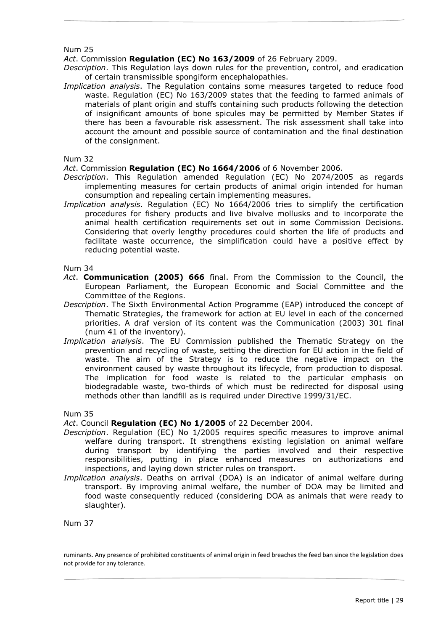*Act*. Commission **Regulation (EC) No 163/2009** of 26 February 2009.

*Description*. This Regulation lays down rules for the prevention, control, and eradication of certain transmissible spongiform encephalopathies.

*Implication analysis*. The Regulation contains some measures targeted to reduce food waste. Regulation (EC) No 163/2009 states that the feeding to farmed animals of materials of plant origin and stuffs containing such products following the detection of insignificant amounts of bone spicules may be permitted by Member States if there has been a favourable risk assessment. The risk assessment shall take into account the amount and possible source of contamination and the final destination of the consignment.

#### Num 32

*Act*. Commission **Regulation (EC) No 1664/2006** of 6 November 2006.

- *Description*. This Regulation amended Regulation (EC) No 2074/2005 as regards implementing measures for certain products of animal origin intended for human consumption and repealing certain implementing measures.
- *Implication analysis*. Regulation (EC) No 1664/2006 tries to simplify the certification procedures for fishery products and live bivalve mollusks and to incorporate the animal health certification requirements set out in some Commission Decisions. Considering that overly lengthy procedures could shorten the life of products and facilitate waste occurrence, the simplification could have a positive effect by reducing potential waste.

Num 34

- *Act*. **Communication (2005) 666** final. From the Commission to the Council, the European Parliament, the European Economic and Social Committee and the Committee of the Regions.
- *Description*. The Sixth Environmental Action Programme (EAP) introduced the concept of Thematic Strategies, the framework for action at EU level in each of the concerned priorities. A draf version of its content was the Communication (2003) 301 final (num 41 of the inventory).
- *Implication analysis*. The EU Commission published the Thematic Strategy on the prevention and recycling of waste, setting the direction for EU action in the field of waste. The aim of the Strategy is to reduce the negative impact on the environment caused by waste throughout its lifecycle, from production to disposal. The implication for food waste is related to the particular emphasis on biodegradable waste, two-thirds of which must be redirected for disposal using methods other than landfill as is required under Directive 1999/31/EC.

Num 35

*Act*. Council **Regulation (EC) No 1/2005** of 22 December 2004.

- *Description*. Regulation (EC) No 1/2005 requires specific measures to improve animal welfare during transport. It strengthens existing legislation on animal welfare during transport by identifying the parties involved and their respective responsibilities, putting in place enhanced measures on authorizations and inspections, and laying down stricter rules on transport.
- *Implication analysis*. Deaths on arrival (DOA) is an indicator of animal welfare during transport. By improving animal welfare, the number of DOA may be limited and food waste consequently reduced (considering DOA as animals that were ready to slaughter).

Num 37

-

ruminants. Any presence of prohibited constituents of animal origin in feed breaches the feed ban since the legislation does not provide for any tolerance.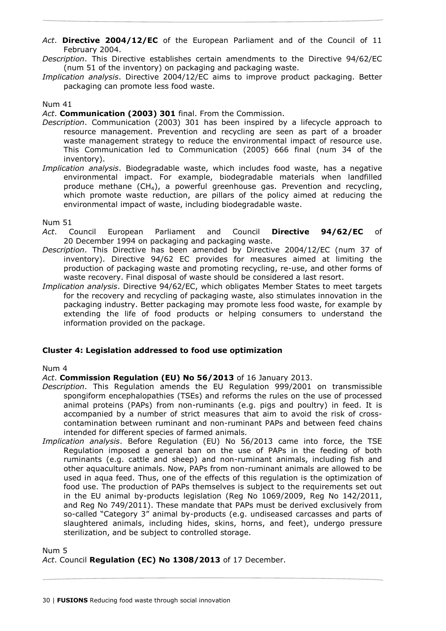- *Act*. **Directive 2004/12/EC** of the European Parliament and of the Council of 11 February 2004.
- *Description*. This Directive establishes certain amendments to the Directive 94/62/EC (num 51 of the inventory) on packaging and packaging waste.
- *Implication analysis*. Directive 2004/12/EC aims to improve product packaging. Better packaging can promote less food waste.

*Act*. **Communication (2003) 301** final. From the Commission.

- *Description*. Communication (2003) 301 has been inspired by a lifecycle approach to resource management. Prevention and recycling are seen as part of a broader waste management strategy to reduce the environmental impact of resource use. This Communication led to Communication (2005) 666 final (num 34 of the inventory).
- *Implication analysis*. Biodegradable waste, which includes food waste, has a negative environmental impact. For example, biodegradable materials when landfilled produce methane  $(CH_4)$ , a powerful greenhouse gas. Prevention and recycling, which promote waste reduction, are pillars of the policy aimed at reducing the environmental impact of waste, including biodegradable waste.

#### Num 51

- *Act*. Council European Parliament and Council **Directive 94/62/EC** of 20 December 1994 on packaging and packaging waste.
- *Description*. This Directive has been amended by Directive 2004/12/EC (num 37 of inventory). Directive 94/62 EC provides for measures aimed at limiting the production of packaging waste and promoting recycling, re-use, and other forms of waste recovery. Final disposal of waste should be considered a last resort.
- *Implication analysis*. Directive 94/62/EC, which obligates Member States to meet targets for the recovery and recycling of packaging waste, also stimulates innovation in the packaging industry. Better packaging may promote less food waste, for example by extending the life of food products or helping consumers to understand the information provided on the package.

# **Cluster 4: Legislation addressed to food use optimization**

#### Num 4

*Act*. **Commission Regulation (EU) No 56/2013** of 16 January 2013.

- *Description*. This Regulation amends the EU Regulation 999/2001 on transmissible spongiform encephalopathies (TSEs) and reforms the rules on the use of processed animal proteins (PAPs) from non-ruminants (e.g. pigs and poultry) in feed. It is accompanied by a number of strict measures that aim to avoid the risk of crosscontamination between ruminant and non-ruminant PAPs and between feed chains intended for different species of farmed animals.
- *Implication analysis*. Before Regulation (EU) No 56/2013 came into force, the TSE Regulation imposed a general ban on the use of PAPs in the feeding of both ruminants (e.g. cattle and sheep) and non-ruminant animals, including fish and other aquaculture animals. Now, PAPs from non-ruminant animals are allowed to be used in aqua feed. Thus, one of the effects of this regulation is the optimization of food use. The production of PAPs themselves is subject to the requirements set out in the EU animal by-products legislation (Reg No 1069/2009, Reg No 142/2011, and Reg No 749/2011). These mandate that PAPs must be derived exclusively from so-called "Category 3" animal by-products (e.g. undiseased carcasses and parts of slaughtered animals, including hides, skins, horns, and feet), undergo pressure sterilization, and be subject to controlled storage.

Num 5 *Act*. Council **Regulation (EC) No 1308/2013** of 17 December.

30 | **FUSIONS** Reducing food waste through social innovation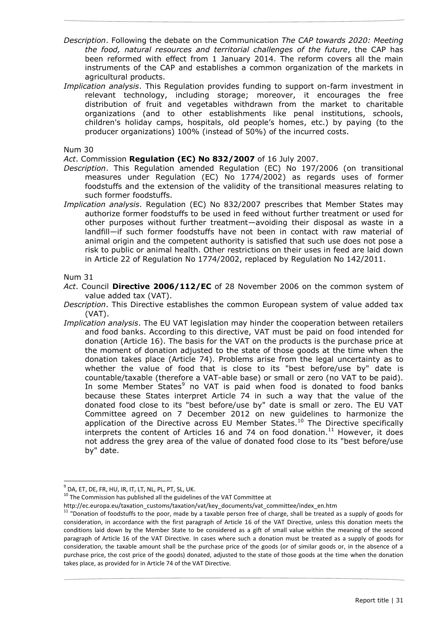- *Description*. Following the debate on the Communication *The CAP towards 2020: Meeting the food, natural resources and territorial challenges of the future*, the CAP has been reformed with effect from 1 January 2014. The reform covers all the main instruments of the CAP and establishes a common organization of the markets in agricultural products.
- *Implication analysis*. This Regulation provides funding to support on-farm investment in relevant technology, including storage; moreover, it encourages the free distribution of fruit and vegetables withdrawn from the market to charitable organizations (and to other establishments like penal institutions, schools, children's holiday camps, hospitals, old people's homes, etc.) by paying (to the producer organizations) 100% (instead of 50%) of the incurred costs.

*Act*. Commission **Regulation (EC) No 832/2007** of 16 July 2007.

- *Description*. This Regulation amended Regulation (EC) No 197/2006 (on transitional measures under Regulation (EC) No 1774/2002) as regards uses of former foodstuffs and the extension of the validity of the transitional measures relating to such former foodstuffs.
- *Implication analysis*. Regulation (EC) No 832/2007 prescribes that Member States may authorize former foodstuffs to be used in feed without further treatment or used for other purposes without further treatment—avoiding their disposal as waste in a landfill—if such former foodstuffs have not been in contact with raw material of animal origin and the competent authority is satisfied that such use does not pose a risk to public or animal health. Other restrictions on their uses in feed are laid down in Article 22 of Regulation No 1774/2002, replaced by Regulation No 142/2011.

Num 31

- *Act*. Council **Directive 2006/112/EC** of 28 November 2006 on the common system of value added tax (VAT).
- *Description*. This Directive establishes the common European system of value added tax (VAT).
- *Implication analysis*. The EU VAT legislation may hinder the cooperation between retailers and food banks. According to this directive, VAT must be paid on food intended for donation (Article 16). The basis for the VAT on the products is the purchase price at the moment of donation adjusted to the state of those goods at the time when the donation takes place (Article 74). Problems arise from the legal uncertainty as to whether the value of food that is close to its "best before/use by" date is countable/taxable (therefore a VAT-able base) or small or zero (no VAT to be paid). In some Member States<sup>9</sup> no VAT is paid when food is donated to food banks because these States interpret Article 74 in such a way that the value of the donated food close to its "best before/use by" date is small or zero. The EU VAT Committee agreed on 7 December 2012 on new guidelines to harmonize the application of the Directive across EU Member States.<sup>10</sup> The Directive specifically interprets the content of Articles 16 and 74 on food donation.<sup>11</sup> However, it does not address the grey area of the value of donated food close to its "best before/use by" date.

 $10$  The Commission has published all the guidelines of the VAT Committee at

http://ec.europa.eu/taxation\_customs/taxation/vat/key\_documents/vat\_committee/index\_en.htm

<sup>-</sup> $^{9}$  DA, ET, DE, FR, HU, IR, IT, LT, NL, PL, PT, SL, UK.

 $11$  "Donation of foodstuffs to the poor, made by a taxable person free of charge, shall be treated as a supply of goods for consideration, in accordance with the first paragraph of Article 16 of the VAT Directive, unless this donation meets the conditions laid down by the Member State to be considered as a gift of small value within the meaning of the second paragraph of Article 16 of the VAT Directive. In cases where such a donation must be treated as a supply of goods for consideration, the taxable amount shall be the purchase price of the goods (or of similar goods or, in the absence of a purchase price, the cost price of the goods) donated, adjusted to the state of those goods at the time when the donation takes place, as provided for in Article 74 of the VAT Directive.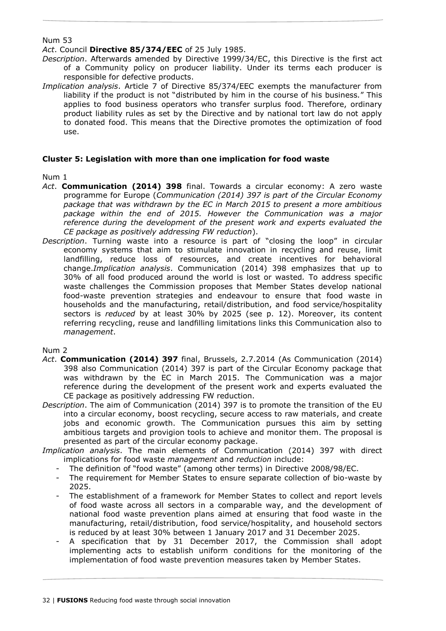*Act*. Council **Directive 85/374/EEC** of 25 July 1985.

- *Description*. Afterwards amended by Directive 1999/34/EC, this Directive is the first act of a Community policy on producer liability. Under its terms each producer is responsible for defective products.
- *Implication analysis*. Article 7 of Directive 85/374/EEC exempts the manufacturer from liability if the product is not "distributed by him in the course of his business*.*" This applies to food business operators who transfer surplus food. Therefore, ordinary product liability rules as set by the Directive and by national tort law do not apply to donated food. This means that the Directive promotes the optimization of food use.

# **Cluster 5: Legislation with more than one implication for food waste**

# Num 1

- *Act*. **Communication (2014) 398** final. Towards a circular economy: A zero waste programme for Europe (*Communication (2014) 397 is part of the Circular Economy package that was withdrawn by the EC in March 2015 to present a more ambitious package within the end of 2015. However the Communication was a major reference during the development of the present work and experts evaluated the CE package as positively addressing FW reduction*).
- *Description*. Turning waste into a resource is part of "closing the loop" in circular economy systems that aim to stimulate innovation in recycling and reuse, limit landfilling, reduce loss of resources, and create incentives for behavioral change.*Implication analysis*. Communication (2014) 398 emphasizes that up to 30% of all food produced around the world is lost or wasted*.* To address specific waste challenges the Commission proposes that Member States develop national food-waste prevention strategies and endeavour to ensure that food waste in households and the manufacturing, retail/distribution, and food service/hospitality sectors is *reduced* by at least 30% by 2025 (see p. 12). Moreover, its content referring recycling, reuse and landfilling limitations links this Communication also to *management*.

# Num 2

- *Act*. **Communication (2014) 397** final, Brussels, 2.7.2014 (As Communication (2014) 398 also Communication (2014) 397 is part of the Circular Economy package that was withdrawn by the EC in March 2015. The Communication was a major reference during the development of the present work and experts evaluated the CE package as positively addressing FW reduction.
- *Description*. The aim of Communication (2014) 397 is to promote the transition of the EU into a circular economy, boost recycling, secure access to raw materials, and create jobs and economic growth. The Communication pursues this aim by setting ambitious targets and provigion tools to achieve and monitor them. The proposal is presented as part of the circular economy package.
- *Implication analysis*. The main elements of Communication (2014) 397 with direct implications for food waste *management* and *reduction* include:
	- The definition of "food waste" (among other terms) in Directive 2008/98/EC.
	- The requirement for Member States to ensure separate collection of bio-waste by 2025.
	- The establishment of a framework for Member States to collect and report levels of food waste across all sectors in a comparable way, and the development of national food waste prevention plans aimed at ensuring that food waste in the manufacturing, retail/distribution, food service/hospitality, and household sectors is reduced by at least 30% between 1 January 2017 and 31 December 2025.
	- A specification that by 31 December 2017, the Commission shall adopt implementing acts to establish uniform conditions for the monitoring of the implementation of food waste prevention measures taken by Member States.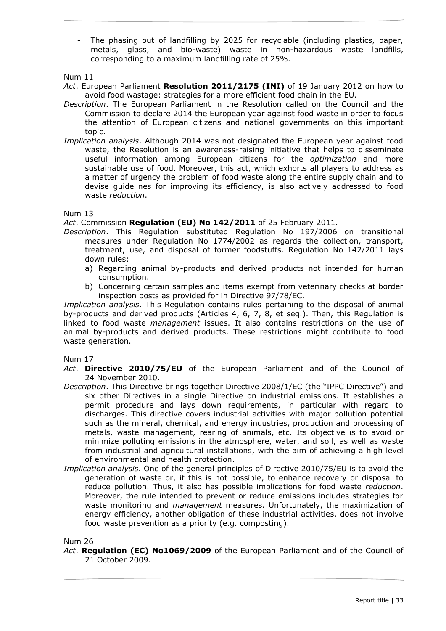The phasing out of landfilling by 2025 for recyclable (including plastics, paper, metals, glass, and bio-waste) waste in non-hazardous waste landfills, corresponding to a maximum landfilling rate of 25%.

Num 11

- *Act*. European Parliament **Resolution 2011/2175 (INI)** of 19 January 2012 on how to avoid food wastage: strategies for a more efficient food chain in the EU.
- *Description*. The European Parliament in the Resolution called on the Council and the Commission to declare 2014 the European year against food waste in order to focus the attention of European citizens and national governments on this important topic.
- *Implication analysis*. Although 2014 was not designated the European year against food waste, the Resolution is an awareness-raising initiative that helps to disseminate useful information among European citizens for the *optimization* and more sustainable use of food. Moreover, this act, which exhorts all players to address as a matter of urgency the problem of food waste along the entire supply chain and to devise guidelines for improving its efficiency, is also actively addressed to food waste *reduction*.

# Num 13

*Act*. Commission **Regulation (EU) No 142/2011** of 25 February 2011.

- *Description*. This Regulation substituted Regulation No 197/2006 on transitional measures under Regulation No 1774/2002 as regards the collection, transport, treatment, use, and disposal of former foodstuffs. Regulation No 142/2011 lays down rules:
	- a) Regarding animal by-products and derived products not intended for human consumption.
	- b) Concerning certain samples and items exempt from veterinary checks at border inspection posts as provided for in Directive 97/78/EC.

*Implication analysis*. This Regulation contains rules pertaining to the disposal of animal by-products and derived products (Articles 4, 6, 7, 8, et seq.). Then, this Regulation is linked to food waste *management* issues. It also contains restrictions on the use of animal by-products and derived products. These restrictions might contribute to food waste generation.

Num 17

- *Act*. **Directive 2010/75/EU** of the European Parliament and of the Council of 24 November 2010.
- *Description*. This Directive brings together Directive 2008/1/EC (the "IPPC Directive") and six other Directives in a single Directive on industrial emissions. It establishes a permit procedure and lays down requirements, in particular with regard to discharges. This directive covers industrial activities with major pollution potential such as the mineral, chemical, and energy industries, production and processing of metals, waste management, rearing of animals, etc. Its objective is to avoid or minimize polluting emissions in the atmosphere, water, and soil, as well as waste from industrial and agricultural installations, with the aim of achieving a high level of environmental and health protection.
- *Implication analysis*. One of the general principles of Directive 2010/75/EU is to avoid the generation of waste or, if this is not possible, to enhance recovery or disposal to reduce pollution. Thus, it also has possible implications for food waste *reduction*. Moreover, the rule intended to prevent or reduce emissions includes strategies for waste monitoring and *management* measures. Unfortunately, the maximization of energy efficiency, another obligation of these industrial activities, does not involve food waste prevention as a priority (e.g. composting).

Num 26

*Act*. **Regulation (EC) No1069/2009** of the European Parliament and of the Council of 21 October 2009.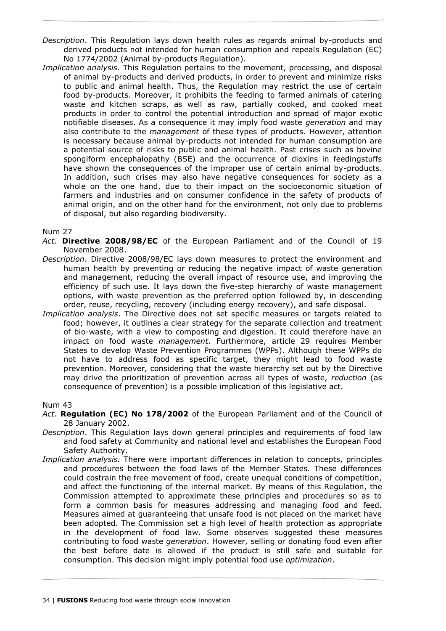- *Description*. This Regulation lays down health rules as regards animal by-products and derived products not intended for human consumption and repeals Regulation (EC) No 1774/2002 (Animal by-products Regulation).
- *Implication analysis*. This Regulation pertains to the movement, processing, and disposal of animal by-products and derived products, in order to prevent and minimize risks to public and animal health. Thus, the Regulation may restrict the use of certain food by-products. Moreover, it prohibits the feeding to farmed animals of catering waste and kitchen scraps, as well as raw, partially cooked, and cooked meat products in order to control the potential introduction and spread of major exotic notifiable diseases. As a consequence it may imply food waste *generation* and may also contribute to the *management* of these types of products. However, attention is necessary because animal by-products not intended for human consumption are a potential source of risks to public and animal health. Past crises such as bovine spongiform encephalopathy (BSE) and the occurrence of dioxins in feedingstuffs have shown the consequences of the improper use of certain animal by-products. In addition, such crises may also have negative consequences for society as a whole on the one hand, due to their impact on the socioeconomic situation of farmers and industries and on consumer confidence in the safety of products of animal origin, and on the other hand for the environment, not only due to problems of disposal, but also regarding biodiversity.

- *Act*. **Directive 2008/98/EC** of the European Parliament and of the Council of 19 November 2008.
- *Description*. Directive 2008/98/EC lays down measures to protect the environment and human health by preventing or reducing the negative impact of waste generation and management, reducing the overall impact of resource use, and improving the efficiency of such use. It lays down the five-step hierarchy of waste management options, with waste prevention as the preferred option followed by, in descending order, reuse, recycling, recovery (including energy recovery), and safe disposal.
- *Implication analysis*. The Directive does not set specific measures or targets related to food; however, it outlines a clear strategy for the separate collection and treatment of bio-waste, with a view to composting and digestion. It could therefore have an impact on food waste *management*. Furthermore, article 29 requires Member States to develop Waste Prevention Programmes (WPPs). Although these WPPs do not have to address food as specific target, they might lead to food waste prevention. Moreover, considering that the waste hierarchy set out by the Directive may drive the prioritization of prevention across all types of waste, *reduction* (as consequence of prevention) is a possible implication of this legislative act.

#### Num 43

- *Act*. **Regulation (EC) No 178/2002** of the European Parliament and of the Council of 28 January 2002.
- *Description*. This Regulation lays down general principles and requirements of food law and food safety at Community and national level and establishes the European Food Safety Authority.
- *Implication analysis.* There were important differences in relation to concepts, principles and procedures between the food laws of the Member States. These differences could costrain the free movement of food, create unequal conditions of competition, and affect the functioning of the internal market. By means of this Regulation, the Commission attempted to approximate these principles and procedures so as to form a common basis for measures addressing and managing food and feed. Measures aimed at guaranteeing that unsafe food is not placed on the market have been adopted. The Commission set a high level of health protection as appropriate in the development of food law. Some observes suggested these measures contributing to food waste *generation*. However, selling or donating food even after the best before date is allowed if the product is still safe and suitable for consumption. This decision might imply potential food use *optimization*.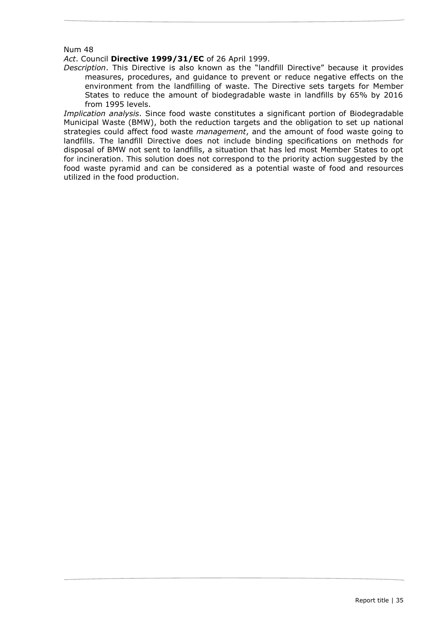#### *Act*. Council **Directive 1999/31/EC** of 26 April 1999.

*Description*. This Directive is also known as the "landfill Directive" because it provides measures, procedures, and guidance to prevent or reduce negative effects on the environment from the landfilling of waste. The Directive sets targets for Member States to reduce the amount of biodegradable waste in landfills by 65% by 2016 from 1995 levels.

*Implication analysis*. Since food waste constitutes a significant portion of Biodegradable Municipal Waste (BMW), both the reduction targets and the obligation to set up national strategies could affect food waste *management*, and the amount of food waste going to landfills. The landfill Directive does not include binding specifications on methods for disposal of BMW not sent to landfills, a situation that has led most Member States to opt for incineration. This solution does not correspond to the priority action suggested by the food waste pyramid and can be considered as a potential waste of food and resources utilized in the food production.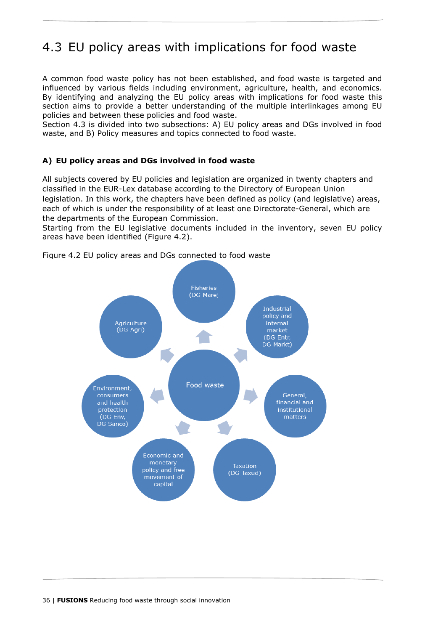# <span id="page-35-0"></span>4.3 EU policy areas with implications for food waste

A common food waste policy has not been established, and food waste is targeted and influenced by various fields including environment, agriculture, health, and economics. By identifying and analyzing the EU policy areas with implications for food waste this section aims to provide a better understanding of the multiple interlinkages among EU policies and between these policies and food waste.

Section 4.3 is divided into two subsections: A) EU policy areas and DGs involved in food waste, and B) Policy measures and topics connected to food waste.

# **A) EU policy areas and DGs involved in food waste**

All subjects covered by EU policies and legislation are organized in twenty chapters and classified in the EUR-Lex database according to the Directory of European Union legislation. In this work, the chapters have been defined as policy (and legislative) areas, each of which is under the responsibility of at least one Directorate-General, which are the departments of the European Commission.

Starting from the EU legislative documents included in the inventory, seven EU policy areas have been identified (Figure 4.2).



<span id="page-35-1"></span>Figure 4.2 EU policy areas and DGs connected to food waste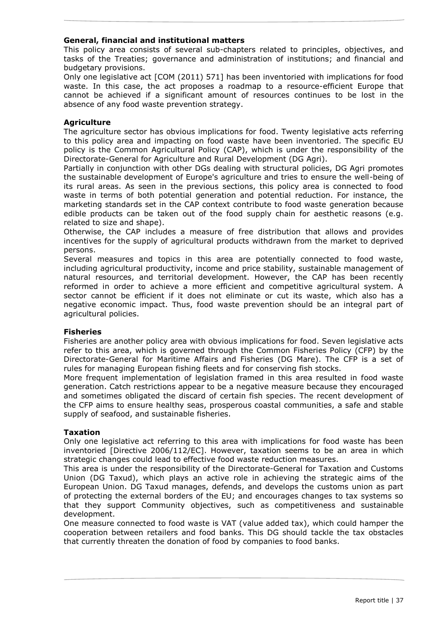# **General, financial and institutional matters**

This policy area consists of several sub-chapters related to principles, objectives, and tasks of the Treaties; governance and administration of institutions; and financial and budgetary provisions.

Only one legislative act [COM (2011) 571] has been inventoried with implications for food waste. In this case, the act proposes a roadmap to a resource-efficient Europe that cannot be achieved if a significant amount of resources continues to be lost in the absence of any food waste prevention strategy.

# **Agriculture**

The agriculture sector has obvious implications for food. Twenty legislative acts referring to this policy area and impacting on food waste have been inventoried. The specific EU policy is the Common Agricultural Policy (CAP), which is under the responsibility of the Directorate-General for Agriculture and Rural Development (DG Agri).

Partially in conjunction with other DGs dealing with structural policies, DG Agri promotes the sustainable development of Europe's agriculture and tries to ensure the well-being of its rural areas. As seen in the previous sections, this policy area is connected to food waste in terms of both potential generation and potential reduction. For instance, the marketing standards set in the CAP context contribute to food waste generation because edible products can be taken out of the food supply chain for aesthetic reasons (e.g. related to size and shape).

Otherwise, the CAP includes a measure of free distribution that allows and provides incentives for the supply of agricultural products withdrawn from the market to deprived persons.

Several measures and topics in this area are potentially connected to food waste, including agricultural productivity, income and price stability, sustainable management of natural resources, and territorial development. However, the CAP has been recently reformed in order to achieve a more efficient and competitive agricultural system. A sector cannot be efficient if it does not eliminate or cut its waste, which also has a negative economic impact. Thus, food waste prevention should be an integral part of agricultural policies.

# **Fisheries**

Fisheries are another policy area with obvious implications for food. Seven legislative acts refer to this area, which is governed through the Common Fisheries Policy (CFP) by the Directorate-General for Maritime Affairs and Fisheries (DG Mare). The CFP is a set of rules for managing European fishing fleets and for conserving fish stocks.

More frequent implementation of legislation framed in this area resulted in food waste generation. Catch restrictions appear to be a negative measure because they encouraged and sometimes obligated the discard of certain fish species. The recent development of the CFP aims to ensure healthy seas, prosperous coastal communities, a safe and stable supply of seafood, and sustainable fisheries.

# **Taxation**

Only one legislative act referring to this area with implications for food waste has been inventoried [Directive 2006/112/EC]. However, taxation seems to be an area in which strategic changes could lead to effective food waste reduction measures.

This area is under the responsibility of the Directorate-General for Taxation and Customs Union (DG Taxud), which plays an active role in achieving the strategic aims of the European Union. DG Taxud manages, defends, and develops the customs union as part of protecting the external borders of the EU; and encourages changes to tax systems so that they support Community objectives, such as competitiveness and sustainable development.

One measure connected to food waste is VAT (value added tax), which could hamper the cooperation between retailers and food banks. This DG should tackle the tax obstacles that currently threaten the donation of food by companies to food banks.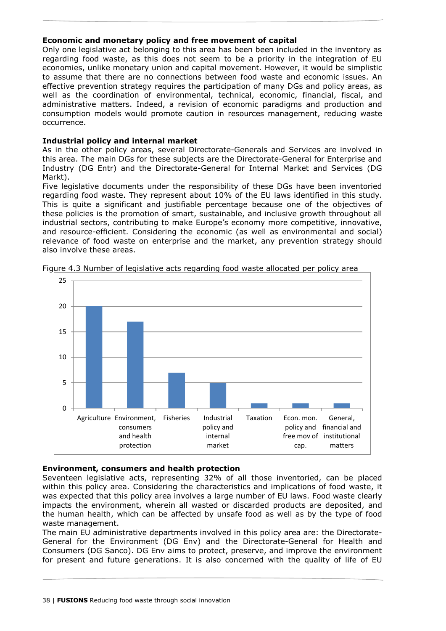# **Economic and monetary policy and free movement of capital**

Only one legislative act belonging to this area has been been included in the inventory as regarding food waste, as this does not seem to be a priority in the integration of EU economies, unlike monetary union and capital movement. However, it would be simplistic to assume that there are no connections between food waste and economic issues. An effective prevention strategy requires the participation of many DGs and policy areas, as well as the coordination of environmental, technical, economic, financial, fiscal, and administrative matters. Indeed, a revision of economic paradigms and production and consumption models would promote caution in resources management, reducing waste occurrence.

# **Industrial policy and internal market**

As in the other policy areas, several Directorate-Generals and Services are involved in this area. The main DGs for these subjects are the Directorate-General for Enterprise and Industry (DG Entr) and the Directorate-General for Internal Market and Services (DG Markt).

Five legislative documents under the responsibility of these DGs have been inventoried regarding food waste. They represent about 10% of the EU laws identified in this study. This is quite a significant and justifiable percentage because one of the objectives of these policies is the promotion of smart, sustainable, and inclusive growth throughout all industrial sectors, contributing to make Europe's economy more competitive, innovative, and resource-efficient. Considering the economic (as well as environmental and social) relevance of food waste on enterprise and the market, any prevention strategy should also involve these areas.



<span id="page-37-0"></span>Figure 4.3 Number of legislative acts regarding food waste allocated per policy area

# **Environment, consumers and health protection**

Seventeen legislative acts, representing 32% of all those inventoried, can be placed within this policy area. Considering the characteristics and implications of food waste, it was expected that this policy area involves a large number of EU laws. Food waste clearly impacts the environment, wherein all wasted or discarded products are deposited, and the human health, which can be affected by unsafe food as well as by the type of food waste management.

The main EU administrative departments involved in this policy area are: the Directorate-General for the Environment (DG Env) and the Directorate-General for Health and Consumers (DG Sanco). DG Env aims to protect, preserve, and improve the environment for present and future generations. It is also concerned with the quality of life of EU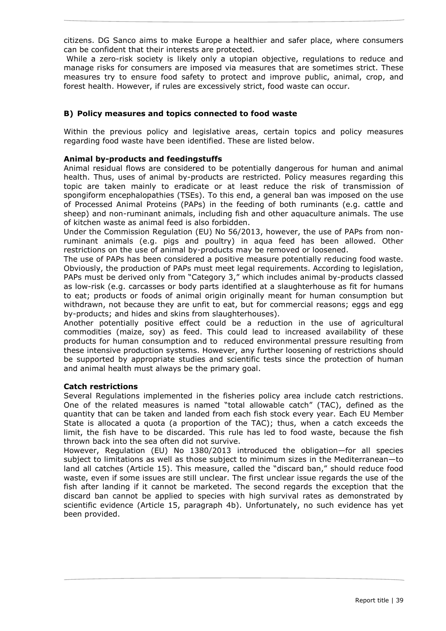citizens. DG Sanco aims to make Europe a healthier and safer place, where consumers can be confident that their interests are protected.

While a zero-risk society is likely only a utopian objective, regulations to reduce and manage risks for consumers are imposed via measures that are sometimes strict. These measures try to ensure food safety to protect and improve public, animal, crop, and forest health. However, if rules are excessively strict, food waste can occur.

# **B) Policy measures and topics connected to food waste**

Within the previous policy and legislative areas, certain topics and policy measures regarding food waste have been identified. These are listed below.

# **Animal by-products and feedingstuffs**

Animal residual flows are considered to be potentially dangerous for human and animal health. Thus, uses of animal by-products are restricted. Policy measures regarding this topic are taken mainly to eradicate or at least reduce the risk of transmission of spongiform encephalopathies (TSEs). To this end, a general ban was imposed on the use of Processed Animal Proteins (PAPs) in the feeding of both ruminants (e.g. cattle and sheep) and non-ruminant animals, including fish and other aquaculture animals. The use of kitchen waste as animal feed is also forbidden.

Under the Commission Regulation (EU) No 56/2013, however, the use of PAPs from nonruminant animals (e.g. pigs and poultry) in aqua feed has been allowed. Other restrictions on the use of animal by-products may be removed or loosened.

The use of PAPs has been considered a positive measure potentially reducing food waste. Obviously, the production of PAPs must meet legal requirements. According to legislation, PAPs must be derived only from "Category 3," which includes animal by-products classed as low-risk (e.g. carcasses or body parts identified at a slaughterhouse as fit for humans to eat; products or foods of animal origin originally meant for human consumption but withdrawn, not because they are unfit to eat, but for commercial reasons; eggs and egg by-products; and hides and skins from slaughterhouses).

Another potentially positive effect could be a reduction in the use of agricultural commodities (maize, soy) as feed. This could lead to increased availability of these products for human consumption and to reduced environmental pressure resulting from these intensive production systems. However, any further loosening of restrictions should be supported by appropriate studies and scientific tests since the protection of human and animal health must always be the primary goal.

# **Catch restrictions**

Several Regulations implemented in the fisheries policy area include catch restrictions. One of the related measures is named "total allowable catch" (TAC), defined as the quantity that can be taken and landed from each fish stock every year. Each EU Member State is allocated a quota (a proportion of the TAC); thus, when a catch exceeds the limit, the fish have to be discarded. This rule has led to food waste, because the fish thrown back into the sea often did not survive.

However, Regulation (EU) No 1380/2013 introduced the obligation—for all species subject to limitations as well as those subject to minimum sizes in the Mediterranean—to land all catches (Article 15). This measure, called the "discard ban," should reduce food waste, even if some issues are still unclear. The first unclear issue regards the use of the fish after landing if it cannot be marketed. The second regards the exception that the discard ban cannot be applied to species with high survival rates as demonstrated by scientific evidence (Article 15, paragraph 4b). Unfortunately, no such evidence has yet been provided.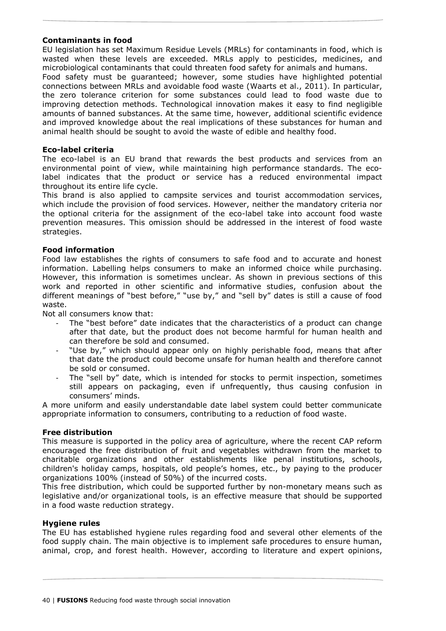# **Contaminants in food**

EU legislation has set Maximum Residue Levels (MRLs) for contaminants in food, which is wasted when these levels are exceeded. MRLs apply to pesticides, medicines, and microbiological contaminants that could threaten food safety for animals and humans.

Food safety must be guaranteed; however, some studies have highlighted potential connections between MRLs and avoidable food waste (Waarts et al., 2011). In particular, the zero tolerance criterion for some substances could lead to food waste due to improving detection methods. Technological innovation makes it easy to find negligible amounts of banned substances. At the same time, however, additional scientific evidence and improved knowledge about the real implications of these substances for human and animal health should be sought to avoid the waste of edible and healthy food.

# **Eco-label criteria**

The eco-label is an EU brand that rewards the best products and services from an environmental point of view, while maintaining high performance standards. The ecolabel indicates that the product or service has a reduced environmental impact throughout its entire life cycle.

This brand is also applied to campsite services and tourist accommodation services, which include the provision of food services. However, neither the mandatory criteria nor the optional criteria for the assignment of the eco-label take into account food waste prevention measures. This omission should be addressed in the interest of food waste strategies.

# **Food information**

Food law establishes the rights of consumers to safe food and to accurate and honest information. Labelling helps consumers to make an informed choice while purchasing. However, this information is sometimes unclear. As shown in previous sections of this work and reported in other scientific and informative studies, confusion about the different meanings of "best before," "use by," and "sell by" dates is still a cause of food waste.

Not all consumers know that:

- The "best before" date indicates that the characteristics of a product can change after that date, but the product does not become harmful for human health and can therefore be sold and consumed.
- "Use by," which should appear only on highly perishable food, means that after that date the product could become unsafe for human health and therefore cannot be sold or consumed.
- The "sell by" date, which is intended for stocks to permit inspection, sometimes still appears on packaging, even if unfrequently, thus causing confusion in consumers' minds.

A more uniform and easily understandable date label system could better communicate appropriate information to consumers, contributing to a reduction of food waste.

# **Free distribution**

This measure is supported in the policy area of agriculture, where the recent CAP reform encouraged the free distribution of fruit and vegetables withdrawn from the market to charitable organizations and other establishments like penal institutions, schools, children's holiday camps, hospitals, old people's homes, etc., by paying to the producer organizations 100% (instead of 50%) of the incurred costs.

This free distribution, which could be supported further by non-monetary means such as legislative and/or organizational tools, is an effective measure that should be supported in a food waste reduction strategy.

# **Hygiene rules**

The EU has established hygiene rules regarding food and several other elements of the food supply chain. The main objective is to implement safe procedures to ensure human, animal, crop, and forest health. However, according to literature and expert opinions,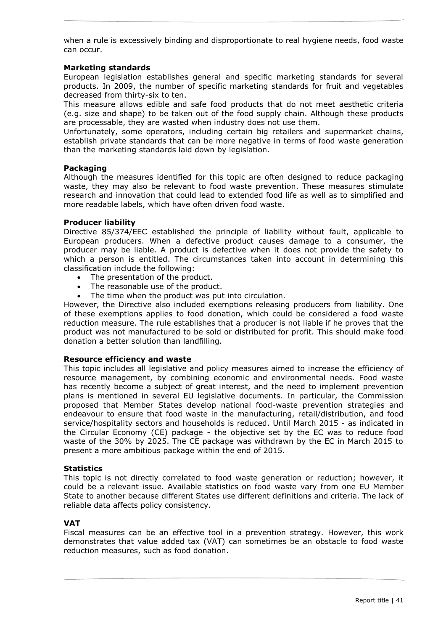when a rule is excessively binding and disproportionate to real hygiene needs, food waste can occur.

# **Marketing standards**

European legislation establishes general and specific marketing standards for several products. In 2009, the number of specific marketing standards for fruit and vegetables decreased from thirty-six to ten.

This measure allows edible and safe food products that do not meet aesthetic criteria (e.g. size and shape) to be taken out of the food supply chain. Although these products are processable, they are wasted when industry does not use them.

Unfortunately, some operators, including certain big retailers and supermarket chains, establish private standards that can be more negative in terms of food waste generation than the marketing standards laid down by legislation.

#### **Packaging**

Although the measures identified for this topic are often designed to reduce packaging waste, they may also be relevant to food waste prevention. These measures stimulate research and innovation that could lead to extended food life as well as to simplified and more readable labels, which have often driven food waste.

#### **Producer liability**

Directive 85/374/EEC established the principle of liability without fault, applicable to European producers. When a defective product causes damage to a consumer, the producer may be liable. A product is defective when it does not provide the safety to which a person is entitled. The circumstances taken into account in determining this classification include the following:

- The presentation of the product.
- The reasonable use of the product.
- The time when the product was put into circulation.

However, the Directive also included exemptions releasing producers from liability. One of these exemptions applies to food donation, which could be considered a food waste reduction measure. The rule establishes that a producer is not liable if he proves that the product was not manufactured to be sold or distributed for profit. This should make food donation a better solution than landfilling.

#### **Resource efficiency and waste**

This topic includes all legislative and policy measures aimed to increase the efficiency of resource management, by combining economic and environmental needs. Food waste has recently become a subject of great interest, and the need to implement prevention plans is mentioned in several EU legislative documents. In particular, the Commission proposed that Member States develop national food-waste prevention strategies and endeavour to ensure that food waste in the manufacturing, retail/distribution, and food service/hospitality sectors and households is reduced. Until March 2015 - as indicated in the Circular Economy (CE) package - the objective set by the EC was to reduce food waste of the 30% by 2025. The CE package was withdrawn by the EC in March 2015 to present a more ambitious package within the end of 2015.

#### **Statistics**

This topic is not directly correlated to food waste generation or reduction; however, it could be a relevant issue. Available statistics on food waste vary from one EU Member State to another because different States use different definitions and criteria. The lack of reliable data affects policy consistency.

# **VAT**

Fiscal measures can be an effective tool in a prevention strategy. However, this work demonstrates that value added tax (VAT) can sometimes be an obstacle to food waste reduction measures, such as food donation.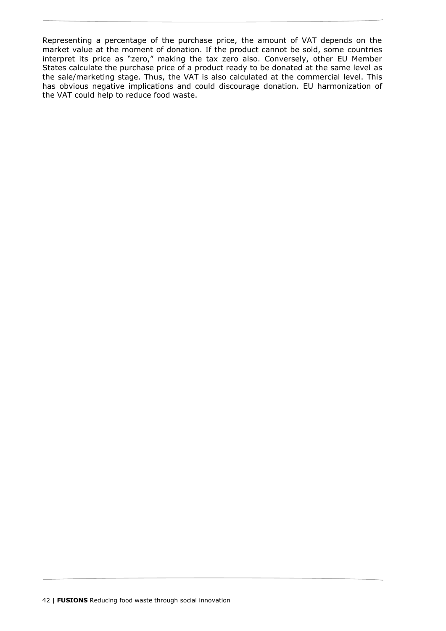Representing a percentage of the purchase price, the amount of VAT depends on the market value at the moment of donation. If the product cannot be sold, some countries interpret its price as "zero," making the tax zero also. Conversely, other EU Member States calculate the purchase price of a product ready to be donated at the same level as the sale/marketing stage. Thus, the VAT is also calculated at the commercial level. This has obvious negative implications and could discourage donation. EU harmonization of the VAT could help to reduce food waste.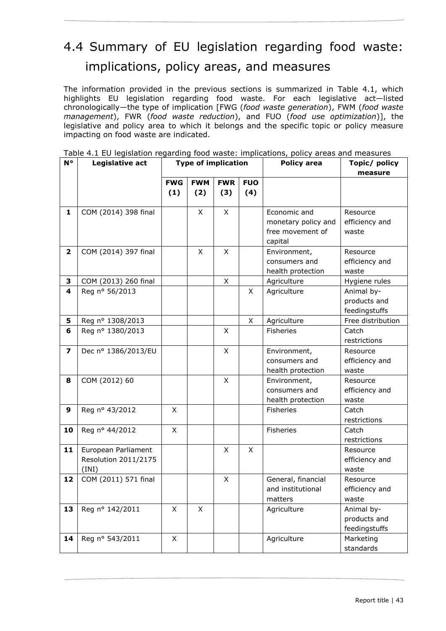# <span id="page-42-0"></span>4.4 Summary of EU legislation regarding food waste: implications, policy areas, and measures

The information provided in the previous sections is summarized in Table 4.1, which highlights EU legislation regarding food waste. For each legislative act—listed chronologically—the type of implication [FWG (*food waste generation*), FWM (*food waste management*), FWR (*food waste reduction*), and FUO (*food use optimization*)], the legislative and policy area to which it belongs and the specific topic or policy measure impacting on food waste are indicated.

| N°                      | Legislative act                                      | <b>Type of implication</b> |                   | <b>Policy area</b> | Topic/ policy     |                                                                    |                                             |
|-------------------------|------------------------------------------------------|----------------------------|-------------------|--------------------|-------------------|--------------------------------------------------------------------|---------------------------------------------|
|                         |                                                      |                            |                   |                    | measure           |                                                                    |                                             |
|                         |                                                      | <b>FWG</b><br>(1)          | <b>FWM</b><br>(2) | <b>FWR</b><br>(3)  | <b>FUO</b><br>(4) |                                                                    |                                             |
| 1                       | COM (2014) 398 final                                 |                            | X                 | X                  |                   | Economic and<br>monetary policy and<br>free movement of<br>capital | Resource<br>efficiency and<br>waste         |
| $\mathbf{2}$            | COM (2014) 397 final                                 |                            | X                 | X                  |                   | Environment,<br>consumers and<br>health protection                 | Resource<br>efficiency and<br>waste         |
| 3                       | COM (2013) 260 final                                 |                            |                   | X                  |                   | Agriculture                                                        | Hygiene rules                               |
| 4                       | Reg nº 56/2013                                       |                            |                   |                    | X                 | Agriculture                                                        | Animal by-<br>products and<br>feedingstuffs |
| 5                       | Reg nº 1308/2013                                     |                            |                   |                    | X                 | Agriculture                                                        | Free distribution                           |
| 6                       | Reg nº 1380/2013                                     |                            |                   | X                  |                   | <b>Fisheries</b>                                                   | Catch<br>restrictions                       |
| $\overline{\mathbf{z}}$ | Dec nº 1386/2013/EU                                  |                            |                   | X                  |                   | Environment,<br>consumers and<br>health protection                 | Resource<br>efficiency and<br>waste         |
| 8                       | COM (2012) 60                                        |                            |                   | X                  |                   | Environment,<br>consumers and<br>health protection                 | Resource<br>efficiency and<br>waste         |
| 9                       | Reg nº 43/2012                                       | X                          |                   |                    |                   | Fisheries                                                          | Catch<br>restrictions                       |
| 10                      | Reg nº 44/2012                                       | $\mathsf{X}$               |                   |                    |                   | Fisheries                                                          | Catch<br>restrictions                       |
| 11                      | European Parliament<br>Resolution 2011/2175<br>(INI) |                            |                   | X                  | X                 |                                                                    | Resource<br>efficiency and<br>waste         |
| 12                      | COM (2011) 571 final                                 |                            |                   | X                  |                   | General, financial<br>and institutional<br>matters                 | Resource<br>efficiency and<br>waste         |
| 13                      | Reg nº 142/2011                                      | X                          | X                 |                    |                   | Agriculture                                                        | Animal by-<br>products and<br>feedingstuffs |
| 14                      | Reg nº 543/2011                                      | X                          |                   |                    |                   | Agriculture                                                        | Marketing<br>standards                      |

<span id="page-42-1"></span>Table 4.1 EU legislation regarding food waste: implications, policy areas and measures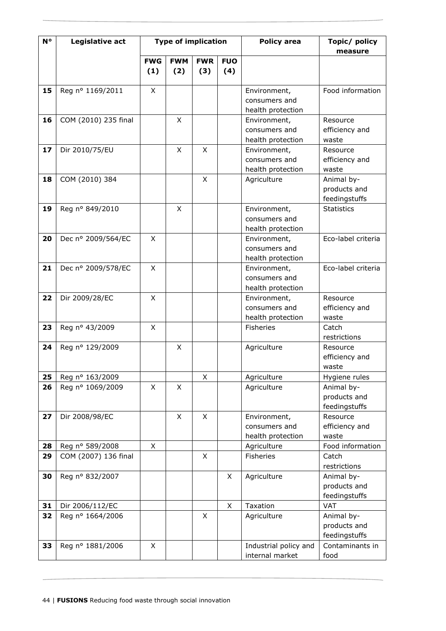| N° | Legislative act      | <b>Type of implication</b> |            | <b>Policy area</b> | Topic/ policy<br>measure |                       |                               |
|----|----------------------|----------------------------|------------|--------------------|--------------------------|-----------------------|-------------------------------|
|    |                      | <b>FWG</b>                 | <b>FWM</b> | <b>FWR</b>         | <b>FUO</b>               |                       |                               |
|    |                      | (1)                        | (2)        | (3)                | (4)                      |                       |                               |
| 15 | Reg nº 1169/2011     | X                          |            |                    |                          | Environment,          | Food information              |
|    |                      |                            |            |                    |                          | consumers and         |                               |
|    |                      |                            |            |                    |                          | health protection     |                               |
| 16 | COM (2010) 235 final |                            | X          |                    |                          | Environment,          | Resource                      |
|    |                      |                            |            |                    |                          | consumers and         | efficiency and                |
|    |                      |                            |            |                    |                          | health protection     | waste                         |
| 17 | Dir 2010/75/EU       |                            | X          | X                  |                          | Environment,          | Resource                      |
|    |                      |                            |            |                    |                          | consumers and         | efficiency and                |
|    |                      |                            |            |                    |                          | health protection     | waste                         |
| 18 | COM (2010) 384       |                            |            | X                  |                          | Agriculture           | Animal by-                    |
|    |                      |                            |            |                    |                          |                       | products and<br>feedingstuffs |
| 19 | Reg nº 849/2010      |                            | X          |                    |                          | Environment,          | <b>Statistics</b>             |
|    |                      |                            |            |                    |                          | consumers and         |                               |
|    |                      |                            |            |                    |                          | health protection     |                               |
| 20 | Dec nº 2009/564/EC   | X                          |            |                    |                          | Environment,          | Eco-label criteria            |
|    |                      |                            |            |                    |                          | consumers and         |                               |
|    |                      |                            |            |                    |                          | health protection     |                               |
| 21 | Dec nº 2009/578/EC   | X                          |            |                    |                          | Environment,          | Eco-label criteria            |
|    |                      |                            |            |                    |                          | consumers and         |                               |
|    |                      |                            |            |                    |                          | health protection     |                               |
| 22 | Dir 2009/28/EC       | X                          |            |                    |                          | Environment,          | Resource                      |
|    |                      |                            |            |                    |                          | consumers and         | efficiency and                |
|    |                      |                            |            |                    |                          | health protection     | waste                         |
| 23 | Reg nº 43/2009       | X                          |            |                    |                          | <b>Fisheries</b>      | Catch                         |
|    |                      |                            |            |                    |                          |                       | restrictions                  |
| 24 | Reg nº 129/2009      |                            | X          |                    |                          | Agriculture           | Resource                      |
|    |                      |                            |            |                    |                          |                       | efficiency and                |
|    |                      |                            |            |                    |                          |                       | waste                         |
| 25 | Reg nº 163/2009      |                            |            | X                  |                          | Agriculture           | Hygiene rules                 |
| 26 | Reg nº 1069/2009     | X                          | X          |                    |                          | Agriculture           | Animal by-                    |
|    |                      |                            |            |                    |                          |                       | products and<br>feedingstuffs |
| 27 | Dir 2008/98/EC       |                            | X          | X                  |                          | Environment,          | Resource                      |
|    |                      |                            |            |                    |                          | consumers and         | efficiency and                |
|    |                      |                            |            |                    |                          | health protection     | waste                         |
| 28 | Reg nº 589/2008      | X                          |            |                    |                          | Agriculture           | Food information              |
| 29 | COM (2007) 136 final |                            |            | X                  |                          | Fisheries             | Catch                         |
|    |                      |                            |            |                    |                          |                       | restrictions                  |
| 30 | Reg nº 832/2007      |                            |            |                    | X                        | Agriculture           | Animal by-                    |
|    |                      |                            |            |                    |                          |                       | products and                  |
|    |                      |                            |            |                    |                          |                       | feedingstuffs                 |
| 31 | Dir 2006/112/EC      |                            |            |                    | X                        | Taxation              | <b>VAT</b>                    |
| 32 | Reg nº 1664/2006     |                            |            | X                  |                          | Agriculture           | Animal by-                    |
|    |                      |                            |            |                    |                          |                       | products and                  |
|    |                      |                            |            |                    |                          |                       | feedingstuffs                 |
| 33 | Reg nº 1881/2006     | X                          |            |                    |                          | Industrial policy and | Contaminants in               |
|    |                      |                            |            |                    |                          | internal market       | food                          |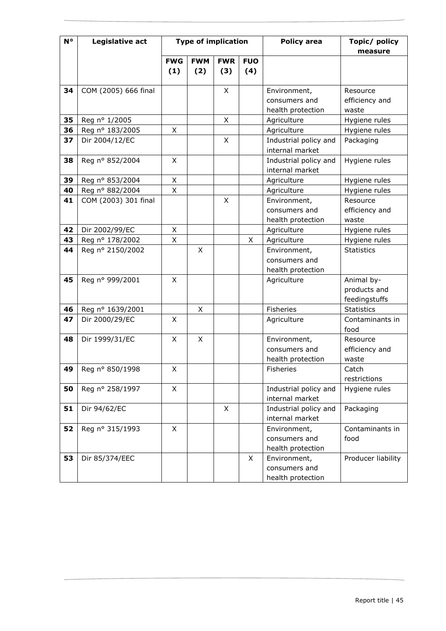| N° | Legislative act      | <b>Type of implication</b> |             |            |            | <b>Policy area</b>                | Topic/ policy           |
|----|----------------------|----------------------------|-------------|------------|------------|-----------------------------------|-------------------------|
|    |                      | <b>FWG</b>                 | <b>FWM</b>  | <b>FWR</b> | <b>FUO</b> |                                   | measure                 |
|    |                      | (1)                        | (2)         | (3)        | (4)        |                                   |                         |
|    |                      |                            |             |            |            |                                   |                         |
| 34 | COM (2005) 666 final |                            |             | X          |            | Environment,                      | Resource                |
|    |                      |                            |             |            |            | consumers and                     | efficiency and          |
|    |                      |                            |             |            |            | health protection                 | waste                   |
| 35 | Reg nº 1/2005        |                            |             | X.         |            | Agriculture                       | Hygiene rules           |
| 36 | Reg nº 183/2005      | X                          |             |            |            | Agriculture                       | Hygiene rules           |
| 37 | Dir 2004/12/EC       |                            |             | X          |            | Industrial policy and             | Packaging               |
|    |                      |                            |             |            |            | internal market                   |                         |
| 38 | Reg nº 852/2004      | X                          |             |            |            | Industrial policy and             | Hygiene rules           |
|    |                      |                            |             |            |            | internal market                   |                         |
| 39 | Reg nº 853/2004      | X                          |             |            |            | Agriculture                       | Hygiene rules           |
| 40 | Reg nº 882/2004      | X                          |             |            |            | Agriculture                       | Hygiene rules           |
| 41 | COM (2003) 301 final |                            |             | X          |            | Environment,                      | Resource                |
|    |                      |                            |             |            |            | consumers and                     | efficiency and          |
|    |                      |                            |             |            |            | health protection                 | waste                   |
| 42 | Dir 2002/99/EC       | X                          |             |            |            | Agriculture                       | Hygiene rules           |
| 43 | Reg nº 178/2002      | Χ                          |             |            | X          | Agriculture                       | Hygiene rules           |
| 44 | Reg nº 2150/2002     |                            | X           |            |            | Environment,                      | <b>Statistics</b>       |
|    |                      |                            |             |            |            | consumers and                     |                         |
|    |                      |                            |             |            |            | health protection                 |                         |
| 45 | Reg nº 999/2001      | X                          |             |            |            | Agriculture                       | Animal by-              |
|    |                      |                            |             |            |            |                                   | products and            |
|    |                      |                            |             |            |            |                                   | feedingstuffs           |
| 46 | Reg nº 1639/2001     |                            | X           |            |            | Fisheries                         | <b>Statistics</b>       |
| 47 | Dir 2000/29/EC       | X                          |             |            |            | Agriculture                       | Contaminants in<br>food |
| 48 | Dir 1999/31/EC       | X                          | $\mathsf X$ |            |            | Environment,                      | Resource                |
|    |                      |                            |             |            |            | consumers and                     | efficiency and          |
|    |                      |                            |             |            |            | health protection                 | waste                   |
| 49 | Reg nº 850/1998      | X                          |             |            |            | Fisheries                         | Catch                   |
|    |                      |                            |             |            |            |                                   | restrictions            |
| 50 | Reg nº 258/1997      | X                          |             |            |            | Industrial policy and             | Hygiene rules           |
|    |                      |                            |             |            |            | internal market                   |                         |
| 51 | Dir 94/62/EC         |                            |             | X          |            | Industrial policy and             | Packaging               |
|    |                      |                            |             |            |            | internal market                   |                         |
| 52 | Reg nº 315/1993      | X                          |             |            |            | Environment,                      | Contaminants in         |
|    |                      |                            |             |            |            | consumers and                     | food                    |
| 53 | Dir 85/374/EEC       |                            |             |            | X          | health protection<br>Environment, | Producer liability      |
|    |                      |                            |             |            |            | consumers and                     |                         |
|    |                      |                            |             |            |            | health protection                 |                         |
|    |                      |                            |             |            |            |                                   |                         |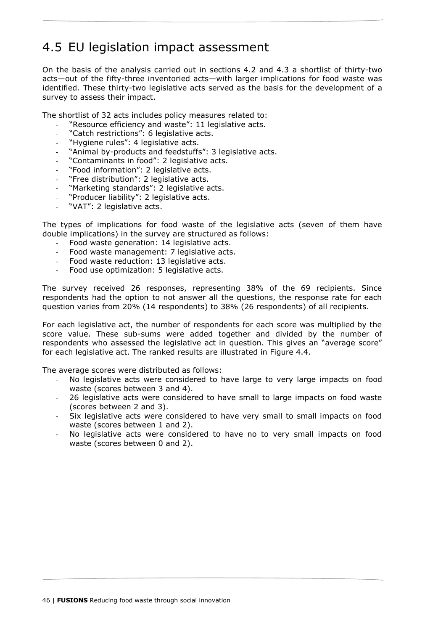# <span id="page-45-0"></span>4.5 EU legislation impact assessment

On the basis of the analysis carried out in sections 4.2 and 4.3 a shortlist of thirty-two acts—out of the fifty-three inventoried acts—with larger implications for food waste was identified. These thirty-two legislative acts served as the basis for the development of a survey to assess their impact.

The shortlist of 32 acts includes policy measures related to:

- "Resource efficiency and waste": 11 legislative acts.
- "Catch restrictions": 6 legislative acts.
- "Hygiene rules": 4 legislative acts.
- "Animal by-products and feedstuffs": 3 legislative acts.
- "Contaminants in food": 2 legislative acts.
- "Food information": 2 legislative acts.
- "Free distribution": 2 legislative acts.
- "Marketing standards": 2 legislative acts.
- "Producer liability": 2 legislative acts.
- "VAT": 2 legislative acts.

The types of implications for food waste of the legislative acts (seven of them have double implications) in the survey are structured as follows:

- Food waste generation: 14 legislative acts.
- Food waste management: 7 legislative acts.
- Food waste reduction: 13 legislative acts.
- Food use optimization: 5 legislative acts.

The survey received 26 responses, representing 38% of the 69 recipients. Since respondents had the option to not answer all the questions, the response rate for each question varies from 20% (14 respondents) to 38% (26 respondents) of all recipients.

For each legislative act, the number of respondents for each score was multiplied by the score value. These sub-sums were added together and divided by the number of respondents who assessed the legislative act in question. This gives an "average score" for each legislative act. The ranked results are illustrated in Figure 4.4.

The average scores were distributed as follows:

- No legislative acts were considered to have large to very large impacts on food waste (scores between 3 and 4).
- 26 legislative acts were considered to have small to large impacts on food waste (scores between 2 and 3).
- Six legislative acts were considered to have very small to small impacts on food waste (scores between 1 and 2).
- No legislative acts were considered to have no to very small impacts on food waste (scores between 0 and 2).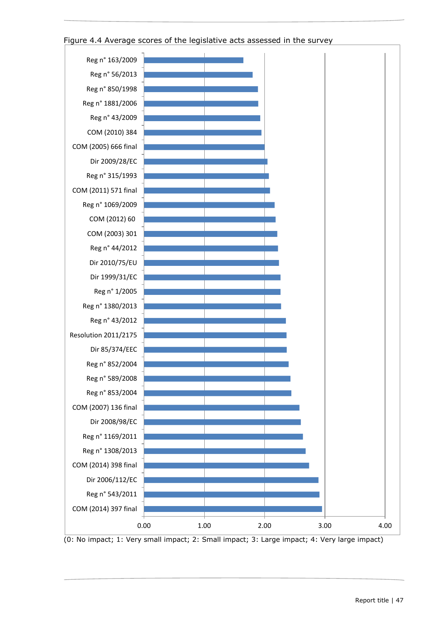

# <span id="page-46-0"></span>Figure 4.4 Average scores of the legislative acts assessed in the survey

(0: No impact; 1: Very small impact; 2: Small impact; 3: Large impact; 4: Very large impact)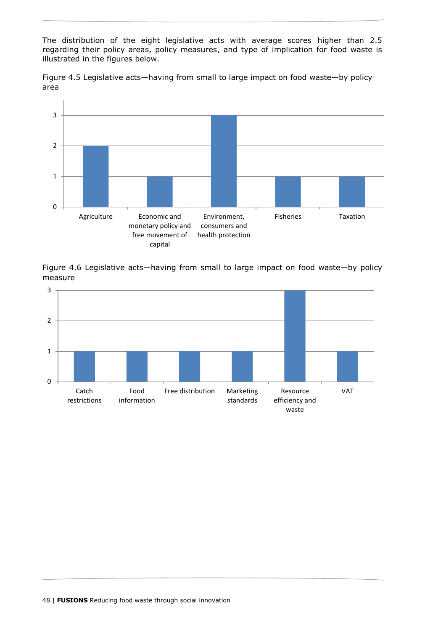The distribution of the eight legislative acts with average scores higher than 2.5 regarding their policy areas, policy measures, and type of implication for food waste is illustrated in the figures below.

<span id="page-47-0"></span>



<span id="page-47-1"></span>Figure 4.6 Legislative acts—having from small to large impact on food waste—by policy measure

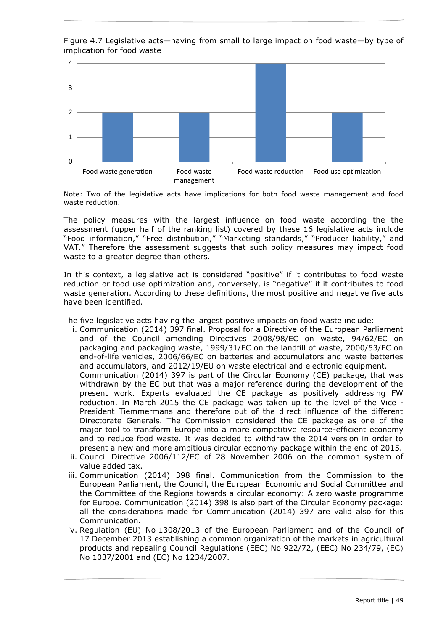<span id="page-48-0"></span>Figure 4.7 Legislative acts—having from small to large impact on food waste—by type of implication for food waste



Note: Two of the legislative acts have implications for both food waste management and food waste reduction.

The policy measures with the largest influence on food waste according the the assessment (upper half of the ranking list) covered by these 16 legislative acts include "Food information," "Free distribution," "Marketing standards," "Producer liability," and VAT." Therefore the assessment suggests that such policy measures may impact food waste to a greater degree than others.

In this context, a legislative act is considered "positive" if it contributes to food waste reduction or food use optimization and, conversely, is "negative" if it contributes to food waste generation. According to these definitions, the most positive and negative five acts have been identified.

The five legislative acts having the largest positive impacts on food waste include:

- i. Communication (2014) 397 final. Proposal for a Directive of the European Parliament and of the Council amending Directives 2008/98/EC on waste, 94/62/EC on packaging and packaging waste, 1999/31/EC on the landfill of waste, 2000/53/EC on end-of-life vehicles, 2006/66/EC on batteries and accumulators and waste batteries and accumulators, and 2012/19/EU on waste electrical and electronic equipment. Communication (2014) 397 is part of the Circular Economy (CE) package, that was withdrawn by the EC but that was a major reference during the development of the present work. Experts evaluated the CE package as positively addressing FW reduction. In March 2015 the CE package was taken up to the level of the Vice - President Tiemmermans and therefore out of the direct influence of the different Directorate Generals. The Commission considered the CE package as one of the major tool to transform Europe into a more competitive resource-efficient economy and to reduce food waste. It was decided to withdraw the 2014 version in order to present a new and more ambitious circular economy package within the end of 2015.
- ii. Council Directive 2006/112/EC of 28 November 2006 on the common system of value added tax.
- iii. Communication (2014) 398 final. Communication from the Commission to the European Parliament, the Council, the European Economic and Social Committee and the Committee of the Regions towards a circular economy: A zero waste programme for Europe. Communication (2014) 398 is also part of the Circular Economy package: all the considerations made for Communication (2014) 397 are valid also for this Communication.
- iv. Regulation (EU) No 1308/2013 of the European Parliament and of the Council of 17 December 2013 establishing a common organization of the markets in agricultural products and repealing Council Regulations (EEC) No 922/72, (EEC) No 234/79, (EC) No 1037/2001 and (EC) No 1234/2007.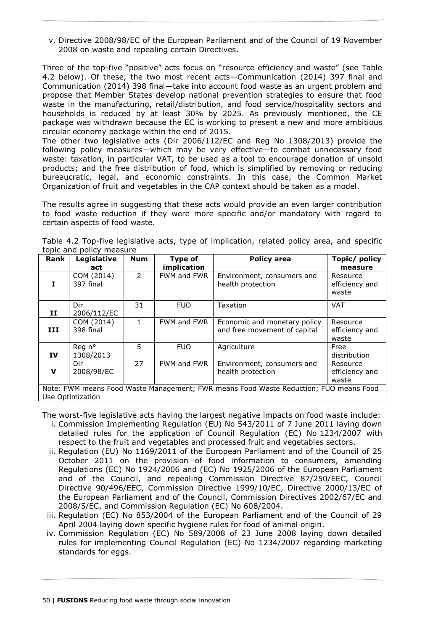v. Directive 2008/98/EC of the European Parliament and of the Council of 19 November 2008 on waste and repealing certain Directives.

Three of the top-five "positive" acts focus on "resource efficiency and waste" (see Table 4.2 below). Of these, the two most recent acts—Communication (2014) 397 final and Communication (2014) 398 final—take into account food waste as an urgent problem and propose that Member States develop national prevention strategies to ensure that food waste in the manufacturing, retail/distribution, and food service/hospitality sectors and households is reduced by at least 30% by 2025. As previously mentioned, the CE package was withdrawn because the EC is working to present a new and more ambitious circular economy package within the end of 2015.

The other two legislative acts (Dir 2006/112/EC and Reg No 1308/2013) provide the following policy measures—which may be very effective—to combat unnecessary food waste: taxation, in particular VAT, to be used as a tool to encourage donation of unsold products; and the free distribution of food, which is simplified by removing or reducing bureaucratic, legal, and economic constraints. In this case, the Common Market Organization of fruit and vegetables in the CAP context should be taken as a model.

The results agree in suggesting that these acts would provide an even larger contribution to food waste reduction if they were more specific and/or mandatory with regard to certain aspects of food waste.

| Rank                                                                                                      | Legislative             | <b>Num</b>     | Type of     | Policy area                                                  | Topic/ policy                       |  |
|-----------------------------------------------------------------------------------------------------------|-------------------------|----------------|-------------|--------------------------------------------------------------|-------------------------------------|--|
|                                                                                                           | act                     |                | implication |                                                              | measure                             |  |
| т                                                                                                         | COM (2014)<br>397 final | $\overline{2}$ | FWM and FWR | Environment, consumers and<br>health protection              | Resource<br>efficiency and<br>waste |  |
| п                                                                                                         | Dir<br>2006/112/EC      | 31             | <b>FUO</b>  | Taxation                                                     | <b>VAT</b>                          |  |
| III                                                                                                       | COM (2014)<br>398 final | 1              | FWM and FWR | Economic and monetary policy<br>and free movement of capital | Resource<br>efficiency and<br>waste |  |
| IV                                                                                                        | Reg n°<br>1308/2013     | 5.             | <b>FUO</b>  | Agriculture                                                  | Free<br>distribution                |  |
| $\mathbf v$                                                                                               | Dir<br>2008/98/EC       | 27             | FWM and FWR | Environment, consumers and<br>health protection              | Resource<br>efficiency and<br>waste |  |
| Note: FWM means Food Waste Management; FWR means Food Waste Reduction; FUO means Food<br>Use Optimization |                         |                |             |                                                              |                                     |  |

<span id="page-49-0"></span>Table 4.2 Top-five legislative acts, type of implication, related policy area, and specific topic and policy measure

The worst-five legislative acts having the largest negative impacts on food waste include:

- i. Commission Implementing Regulation (EU) No 543/2011 of 7 June 2011 laying down detailed rules for the application of Council Regulation (EC) No 1234/2007 with respect to the fruit and vegetables and processed fruit and vegetables sectors.
- ii. Regulation (EU) No 1169/2011 of the European Parliament and of the Council of 25 October 2011 on the provision of food information to consumers, amending Regulations (EC) No 1924/2006 and (EC) No 1925/2006 of the European Parliament and of the Council, and repealing Commission Directive 87/250/EEC, Council Directive 90/496/EEC, Commission Directive 1999/10/EC, Directive 2000/13/EC of the European Parliament and of the Council, Commission Directives 2002/67/EC and 2008/5/EC, and Commission Regulation (EC) No 608/2004.
- iii. Regulation (EC) No 853/2004 of the European Parliament and of the Council of 29 April 2004 laying down specific hygiene rules for food of animal origin.
- iv. Commission Regulation (EC) No 589/2008 of 23 June 2008 laying down detailed rules for implementing Council Regulation (EC) No 1234/2007 regarding marketing standards for eggs.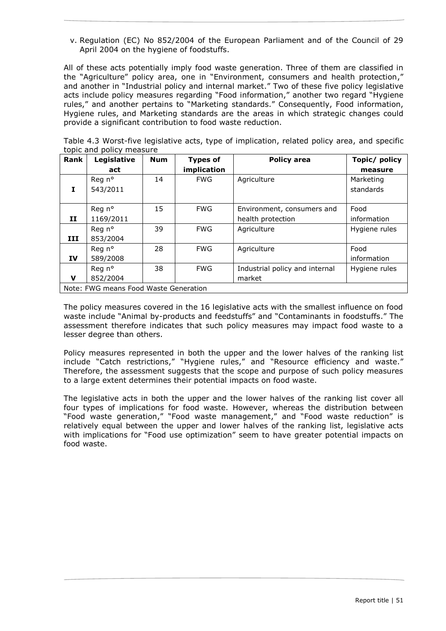v. Regulation (EC) No 852/2004 of the European Parliament and of the Council of 29 April 2004 on the hygiene of foodstuffs.

All of these acts potentially imply food waste generation. Three of them are classified in the "Agriculture" policy area, one in "Environment, consumers and health protection," and another in "Industrial policy and internal market." Two of these five policy legislative acts include policy measures regarding "Food information," another two regard "Hygiene rules," and another pertains to "Marketing standards." Consequently, Food information, Hygiene rules, and Marketing standards are the areas in which strategic changes could provide a significant contribution to food waste reduction.

<span id="page-50-0"></span>Table 4.3 Worst-five legislative acts, type of implication, related policy area, and specific topic and policy measure

| <b>Rank</b>                           | Legislative | <b>Num</b> | <b>Types of</b> | <b>Policy area</b>             | Topic/ policy |  |  |
|---------------------------------------|-------------|------------|-----------------|--------------------------------|---------------|--|--|
|                                       | act         |            | implication     |                                | measure       |  |  |
|                                       | Reg n°      | 14         | <b>FWG</b>      | Agriculture                    | Marketing     |  |  |
| Ι.                                    | 543/2011    |            |                 |                                | standards     |  |  |
|                                       |             |            |                 |                                |               |  |  |
|                                       | Reg n°      | 15         | <b>FWG</b>      | Environment, consumers and     | Food          |  |  |
| п                                     | 1169/2011   |            |                 | health protection              | information   |  |  |
|                                       | Reg n°      | 39         | <b>FWG</b>      | Agriculture                    | Hygiene rules |  |  |
| III                                   | 853/2004    |            |                 |                                |               |  |  |
|                                       | Reg n°      | 28         | <b>FWG</b>      | Agriculture                    | Food          |  |  |
| IV                                    | 589/2008    |            |                 |                                | information   |  |  |
|                                       | Reg n°      | 38         | <b>FWG</b>      | Industrial policy and internal | Hygiene rules |  |  |
| v                                     | 852/2004    |            |                 | market                         |               |  |  |
| Note: FWG means Food Waste Generation |             |            |                 |                                |               |  |  |

The policy measures covered in the 16 legislative acts with the smallest influence on food waste include "Animal by-products and feedstuffs" and "Contaminants in foodstuffs." The assessment therefore indicates that such policy measures may impact food waste to a lesser degree than others.

Policy measures represented in both the upper and the lower halves of the ranking list include "Catch restrictions," "Hygiene rules," and "Resource efficiency and waste." Therefore, the assessment suggests that the scope and purpose of such policy measures to a large extent determines their potential impacts on food waste.

The legislative acts in both the upper and the lower halves of the ranking list cover all four types of implications for food waste. However, whereas the distribution between "Food waste generation," "Food waste management," and "Food waste reduction" is relatively equal between the upper and lower halves of the ranking list, legislative acts with implications for "Food use optimization" seem to have greater potential impacts on food waste.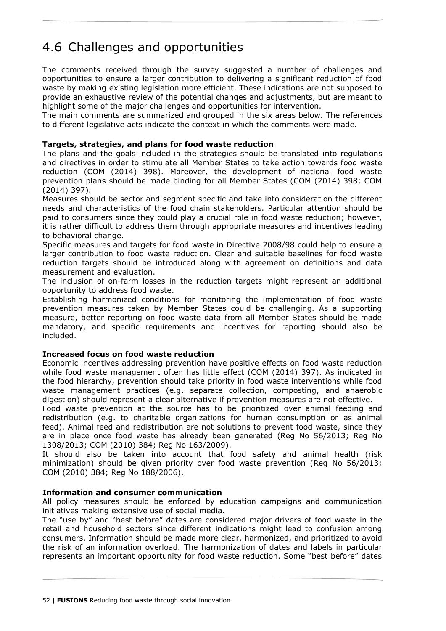# <span id="page-51-0"></span>4.6 Challenges and opportunities

The comments received through the survey suggested a number of challenges and opportunities to ensure a larger contribution to delivering a significant reduction of food waste by making existing legislation more efficient. These indications are not supposed to provide an exhaustive review of the potential changes and adjustments, but are meant to highlight some of the major challenges and opportunities for intervention.

The main comments are summarized and grouped in the six areas below. The references to different legislative acts indicate the context in which the comments were made.

# **Targets, strategies, and plans for food waste reduction**

The plans and the goals included in the strategies should be translated into regulations and directives in order to stimulate all Member States to take action towards food waste reduction (COM (2014) 398). Moreover, the development of national food waste prevention plans should be made binding for all Member States (COM (2014) 398; COM (2014) 397).

Measures should be sector and segment specific and take into consideration the different needs and characteristics of the food chain stakeholders. Particular attention should be paid to consumers since they could play a crucial role in food waste reduction; however, it is rather difficult to address them through appropriate measures and incentives leading to behavioral change.

Specific measures and targets for food waste in Directive 2008/98 could help to ensure a larger contribution to food waste reduction. Clear and suitable baselines for food waste reduction targets should be introduced along with agreement on definitions and data measurement and evaluation.

The inclusion of on-farm losses in the reduction targets might represent an additional opportunity to address food waste.

Establishing harmonized conditions for monitoring the implementation of food waste prevention measures taken by Member States could be challenging. As a supporting measure, better reporting on food waste data from all Member States should be made mandatory, and specific requirements and incentives for reporting should also be included.

# **Increased focus on food waste reduction**

Economic incentives addressing prevention have positive effects on food waste reduction while food waste management often has little effect (COM (2014) 397). As indicated in the food hierarchy, prevention should take priority in food waste interventions while food waste management practices (e.g. separate collection, composting, and anaerobic digestion) should represent a clear alternative if prevention measures are not effective.

Food waste prevention at the source has to be prioritized over animal feeding and redistribution (e.g. to charitable organizations for human consumption or as animal feed). Animal feed and redistribution are not solutions to prevent food waste, since they are in place once food waste has already been generated (Reg No 56/2013; Reg No 1308/2013; COM (2010) 384; Reg No 163/2009).

It should also be taken into account that food safety and animal health (risk minimization) should be given priority over food waste prevention (Reg No 56/2013; COM (2010) 384; Reg No 188/2006).

# **Information and consumer communication**

All policy measures should be enforced by education campaigns and communication initiatives making extensive use of social media.

The "use by" and "best before" dates are considered major drivers of food waste in the retail and household sectors since different indications might lead to confusion among consumers. Information should be made more clear, harmonized, and prioritized to avoid the risk of an information overload. The harmonization of dates and labels in particular represents an important opportunity for food waste reduction. Some "best before" dates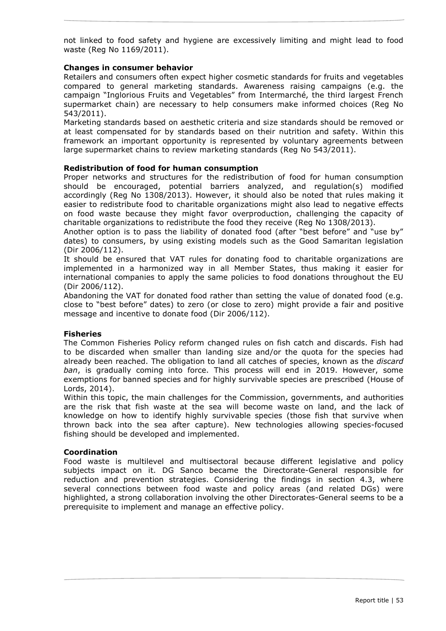not linked to food safety and hygiene are excessively limiting and might lead to food waste (Reg No 1169/2011).

# **Changes in consumer behavior**

Retailers and consumers often expect higher cosmetic standards for fruits and vegetables compared to general marketing standards. Awareness raising campaigns (e.g. the campaign "Inglorious Fruits and Vegetables" from Intermarché, the third largest French supermarket chain) are necessary to help consumers make informed choices (Reg No 543/2011).

Marketing standards based on aesthetic criteria and size standards should be removed or at least compensated for by standards based on their nutrition and safety. Within this framework an important opportunity is represented by voluntary agreements between large supermarket chains to review marketing standards (Reg No 543/2011).

#### **Redistribution of food for human consumption**

Proper networks and structures for the redistribution of food for human consumption should be encouraged, potential barriers analyzed, and regulation(s) modified accordingly (Reg No 1308/2013). However, it should also be noted that rules making it easier to redistribute food to charitable organizations might also lead to negative effects on food waste because they might favor overproduction, challenging the capacity of charitable organizations to redistribute the food they receive (Reg No 1308/2013).

Another option is to pass the liability of donated food (after "best before" and "use by" dates) to consumers, by using existing models such as the Good Samaritan legislation (Dir 2006/112).

It should be ensured that VAT rules for donating food to charitable organizations are implemented in a harmonized way in all Member States, thus making it easier for international companies to apply the same policies to food donations throughout the EU (Dir 2006/112).

Abandoning the VAT for donated food rather than setting the value of donated food (e.g. close to "best before" dates) to zero (or close to zero) might provide a fair and positive message and incentive to donate food (Dir 2006/112).

#### **Fisheries**

The Common Fisheries Policy reform changed rules on fish catch and discards. Fish had to be discarded when smaller than landing size and/or the quota for the species had already been reached. The obligation to land all catches of species, known as the *discard ban*, is gradually coming into force. This process will end in 2019. However, some exemptions for banned species and for highly survivable species are prescribed (House of Lords, 2014).

Within this topic, the main challenges for the Commission, governments, and authorities are the risk that fish waste at the sea will become waste on land, and the lack of knowledge on how to identify highly survivable species (those fish that survive when thrown back into the sea after capture). New technologies allowing species-focused fishing should be developed and implemented.

#### **Coordination**

Food waste is multilevel and multisectoral because different legislative and policy subjects impact on it. DG Sanco became the Directorate-General responsible for reduction and prevention strategies. Considering the findings in section 4.3, where several connections between food waste and policy areas (and related DGs) were highlighted, a strong collaboration involving the other Directorates-General seems to be a prerequisite to implement and manage an effective policy.